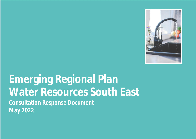

# **Emerging Regional Plan Water Resources South East Consultation Response Document May 2022**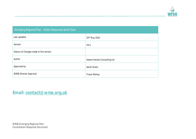

| Emerging Regional Plan - Water Resources South East |                             |  |
|-----------------------------------------------------|-----------------------------|--|
| Last updated                                        | 20 <sup>th</sup> May 2022   |  |
| Version                                             | V <sub>0.5</sub>            |  |
| History of Changes made to this version             |                             |  |
| Author                                              | Adams Hendry Consulting Ltd |  |
| Approved by                                         | Sarah Green                 |  |
| <b>WRSE Director Approval</b>                       | <b>Trevor Bishop</b>        |  |

**Email: [contact@wrse.org.uk](mailto:contact@wrse.org.uk)**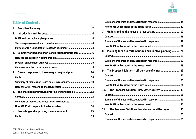

# **Table of Contents**

| 1. |                                                     |  |
|----|-----------------------------------------------------|--|
| 2. |                                                     |  |
|    |                                                     |  |
|    |                                                     |  |
|    |                                                     |  |
| 3. | Summary of Regional Plan Consultation undertaken    |  |
|    |                                                     |  |
|    |                                                     |  |
|    |                                                     |  |
| 4. | Overall responses to the emerging regional plan  10 |  |
|    |                                                     |  |
|    | Summary of themes and issues raised in responses10  |  |
|    |                                                     |  |
| 5. | The challenge and future proofing water supplies 13 |  |
|    |                                                     |  |
|    | Summary of themes and issues raised in responses13  |  |
|    |                                                     |  |
| 6. |                                                     |  |
|    |                                                     |  |

| Summary of themes and issues raised in responses 15            |  |
|----------------------------------------------------------------|--|
|                                                                |  |
| 7.                                                             |  |
|                                                                |  |
| Summary of themes and issues raised in responses 19            |  |
|                                                                |  |
| Planning for an uncertain future and adaptive planning21<br>8. |  |
|                                                                |  |
| Summary of themes and issues raised in responses  21           |  |
|                                                                |  |
| 9.                                                             |  |
|                                                                |  |
| Summary of themes and issues raised in responses 25            |  |
|                                                                |  |
| The Proposed Solution - new water sources 30<br>10.            |  |
|                                                                |  |
| Summary of themes and issues raised in responses  30           |  |
|                                                                |  |
| The Proposed Solution - transfers around the region  35<br>11. |  |
|                                                                |  |
|                                                                |  |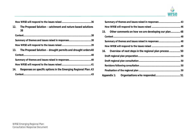

|--|--|

|     | 12. The Proposed Solution – catchment and nature based solutions<br>38 |  |
|-----|------------------------------------------------------------------------|--|
|     |                                                                        |  |
|     | Summary of themes and issues raised in responses38                     |  |
|     |                                                                        |  |
|     | 13. The Proposed Solution – drought permits and drought orders 40      |  |
|     |                                                                        |  |
|     |                                                                        |  |
|     |                                                                        |  |
| 14. | Responses on specific options in the Emerging Regional Plan.43         |  |
|     |                                                                        |  |

|     | Summary of themes and issues raised in responses 43    |  |
|-----|--------------------------------------------------------|--|
|     |                                                        |  |
|     | 15. Other comments on how we are developing our plan48 |  |
|     |                                                        |  |
|     | Summary of themes and issues raised in responses 48    |  |
|     |                                                        |  |
| 16. | Overview of next steps in the regional plan process50  |  |
|     |                                                        |  |
|     |                                                        |  |
|     |                                                        |  |
|     |                                                        |  |
|     |                                                        |  |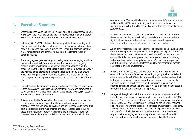

# **1. Executive Summary**

- 1.1. Water Resources South East (WRSE) is an alliance of the six water companies which cover the South East of England - Affinity Water, Portsmouth Water, SES Water, Southern Water, South East Water and Thames Water.
- 1.2. In January 2022, WRSE published its Emerging Water Resources Regional Plan for a period of public consultation. The emerging regional plan set out how WRSE planned to achieve a secure, resilient and sustainable supply of water for customers and other sectors, across a challenging range of potential futures.
- 1.3. The emerging plan gave early sight of the big issues and emerging solutions to gain initial feedback from stakeholders. It was a step in an ongoing process of plan development, and not yet a formal preferred plan. The proposals sought to ensure that water is used in the most sustainable way in the years to come, providing the water needed as the population grows, whilst improving the environment and adapting to climate change. The emerging regional plan presented proposals on the basis of a cost-efficient plan.
- 1.4. Consultation on the emerging regional plan took place between January and March 2022. As well as publishing documents for review and comments, a series of online workshops were held for stakeholders. Over 1,150 responses were received to the consultation.
- 1.5. This document is the Consultation Response. It provides a summary of the consultation responses, highlighting themes and issues raised in the responses received and providing WRSE's position in response to them. This document draws out the main themes and issues in responses, including those of the regulators, other organisations and individuals. It does not however seek to identify each individual respondent, nor each individual

comment made. The individual detailed comments and information received will be used by WRSE in its continuing work on the preparation of the regional plan, which will lead to the publication of the draft regional plan in Autumn 2022.

- 1.6. Many of the comments received on the emerging plan were supportive of the adaptive planning approach being undertaken, and the proposals for significant leakage and water efficiency measures as well as greater protection for the environment through abstraction reductions.
- 1.7. A number of responses included challenges to population and environmental data and assumptions underpinning the emerging regional plan. Over half of the individual responses particularly focused on specific water resources options identified for development, such as large new reservoirs, strategic water transfers, and water recycling schemes. Concerns were expressed about the need for the schemes selected, and the environmental impacts associated with their development.
- 1.8. WRSE is progressing technical work to prepare the draft regional plan for consultation in Autumn. As well as completing ongoing environmental and other assessments, WRSE is undertaking additional modelling and sensitivity testing of the regional proposals as part of developing its best value plan. The consultation feedback received on the emerging regional plan is informing this ongoing work, and will assist WRSE in developing and testing the robustness of its draft regional plan proposals.
- 1.9. Alongside this regional work, the six water companies are preparing their individual water resource management plans for consultation later in 2022, Southern Water's in Summer 2022 and the other five companies in Autumn 2022. The themes and issues raised in feedback on the emerging regional plan, where it is relevant to specific companies and water resources options, will help inform the preparation of those individual plans as well. WRSE is very grateful to the individuals and organisations who took the time to respond to the emerging regional plan proposals, and looks forward to engaging further on the draft regional plan proposals in the Autumn.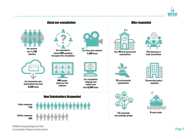



WRSE Emerging Regional Plan: Consultation Response Document **Page 3**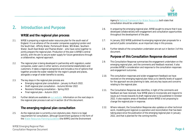

# <span id="page-6-0"></span>**2. Introduction and Purpose**

# **WRSE and the regional plan process**

- 2.1. WRSE is preparing a regional water resources plan for the south east of England. It is an alliance of the six water companies supplying London and the South East - Affinity Water, Portsmouth Water, SES Water, Southern Water, South East Water and Thames Water – who have come together to jointly prepare the regional plan. Production of the plan is WRSE's central activity, with the aim to secure water supply for future generations through a collaborative, regional approach.
- 2.2. The regional plan is being developed in partnership with regulators, water companies, water users in other sectors, environmental stakeholders and customers. It takes a regional perspective and includes a mix of options that together provide the water needed for the region's people and places, alongside a range of wider benefits to society.
- 2.3. The key steps in the regional plan process are:
	- Emerging regional plan consultation January to March 2022.
	- Draft regional plan consultation Autumn/Winter 2022
	- Revisions following consultation Spring 2023
	- Final regional plan Autumn 2023
- 2.4. Further details are available on [our website.](#page-6-0) Information on the next steps in the regional plan process is set out in section 16 of this document.

# **The emerging regional plan consultation**

2.5. As the regional plan is currently a non-statutory plan, there is no legal requirement for consultation, although Government guidance in the form of the [Water Resources Planning Guideline](#page-6-0) (the WRPG) and the Environment

Agency's [National Framework for Water Resources](#page-6-0) both state that consultation should be undertaken.

- 2.6. In preparing the emerging regional plan, WRSE sought to ensure that it was developed collaboratively with engagement and consultation opportunities throughout the development of the plan.
- 2.7. In January 2022 WRSE published its emerging regional plan proposals for a period of public consultation, as an important step in this process.
- 2.8. Further details of the consultation undertaken are set out in Section 3 of this document.

#### **Purpose of this Consultation Response document**

- 2.9. This Consultation Response summarises the engagement undertaken on the emerging regional plan, and the comments and feedback received. It also provides WRSE's consideration and response to the consultation responses and engagement outcomes.
- 2.10. The consultation responses and wider engagement feedback we have received on the emerging regional plan helps us to identify levels of support for the approach we are planning to take, and any key issues and concerns relating to the regional plan.
- 2.11. The Consultation Response also identifies, in light of the comments and feedback we have received, how WRSE plans to incorporate and respond to issues as it moves towards its draft regional plan to be published in October 2022. It also explains areas of feedback where WRSE is not proposing to change the regional plan in response.
- 2.12. Where relevant, the Consultation Response also updates on other technical work, modelling and regional co-operation and reconciliation that has been taking place since the publication of the emerging regional plan in January 2022, and that is planned for the coming months.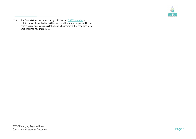

<span id="page-7-0"></span>2.13. The Consultation Response is being published on <u>WRSE's website</u>. A notification of its publication will be sent to all those who responded to the emerging regional plan consultation and who indicated that they wish to be kept informed of our progress.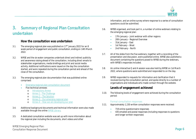

# <span id="page-8-0"></span>**3. Summary of Regional Plan Consultation undertaken**

# **How the consultation was undertaken**

- 3.1. The emerging regional plan was published on  $17<sup>th</sup>$  January 2022 for an 8 week period of engagement and public consultation, ending on 14th March 2022.
- 3.2. WRSE and the six water companies undertook direct and indirect publicity and awareness raising ahead of the consultation, including direct emails to stakeholder organisations, media briefings and print and social media activity. Additional notifications were issued on the day the consultation started, and were repeated during the consultation period and ahead of the close of the consultation.
- 3.3. The emerging regional plan documentation that was published online comprised:
	- [Emerging regional plan consultation document](#page-8-0)
	- Five technical annexes
		- o [Introductory Annex](#page-8-0)
		- o [Annex 1 The Challenge](#page-8-0)
		- o [Annex 2 The Solution](#page-8-0)
		- o [Annex 3 Our emerging regional plan](#page-8-0)
		- o [Annex 4 How we are developing our plan](#page-8-0)
- 3.4. Additional background documents and technical information were also made available through the online [WRSE Library.](#page-8-0)
- 3.5. A dedicated consultation website was set up with more information about the regional plan including the documents, short videos and other

WRSE Emerging Regional Plan: Consultation Response Document **Page 6**

information, and an online survey where response to a series of consultation questions could be submitted.

- 3.6. WRSE organised, and took part in, a number of online webinars relating to the emerging regional plan:
	- 17th January Joint webinar with other regions
	- 20th January Regional Overview
	- 31st January East
	- 1st February West
	- 2nd February North
- 3.7. All of the slides from the five webinars, together with a recording of the presentation and discussion, were published online. WRSE also published a document containing the questions posed to WRSE during the webinars, with WRSE's responses included.
- 3.8. An online interactive Q and A session was also held by WRSE on 1st March 2022, where questions were submitted and responded to on the day.
- 3.9. WRSE responded to requests for information and clarification that it received during the consultation period, and spoke directly to a number of organisations and individuals who made contact through the website.

# **Levels of engagement achieved**

3.10. The following levels of engagement were achieved during the consultation period:

#### Formal consultation responses

- 3.11. Approximately 1,150 written consultation responses were received:
	- 719 online questionnaire responses
	- 435 emailed and postal responses (including responses to questions and longer written responses)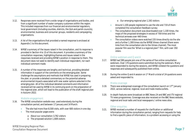

- 3.12. Responses were received from a wide range of organisations and bodies, and from a significant number of water company customers within the region. This included responses from our financial and environmental regulators, local government (including counties, districts, the GLA and parish councils), environmental, business and consumer groups, residents and campaigning organisations.
- 3.13. A list of the organisations that provided a named response is enclosed at Appendix 1 to this document.
- 3.14. WRSE's summary of the issues raised in the consultation, and its response is provided in Section 4 to 15 of this document. It provides a summary of the consultation responses, highlighting themes and issues raised in the responses received and providing WRSE's position in response to them. This document does not seek to identify each individual respondent, nor each individual comment made.
- 3.15. A number of the responses are lengthy and technical, providing detailed information in support of the comments on the emerging plan. Some challenge the assumptions and methods that WRSE has used in preparing the plan, or provide a detailed commentary on the potential adverse environmental impacts associated with new water options selected in the emerging plan. All of the individual detailed comments and information received will be used by WRSE in its continuing work on the preparation of the regional plan, which will lead to the publication of the draft regional plan in Autumn 2022.

#### Website engagement

- 3.16. The WRSE consultation website was used extensively during the consultation period, and between 17 January and 14 March:
	- The site had more than 8,500 visits, with over 600 visitors in one day
	- The most popular pages were:
		- o About our consultation 3,762 visitors
		- o The proposed solution 1,608 visitors
- o Our emerging regional plan 1,192 visitors
- **Around 1,100 people registered to use the site and 719 of them** completed the consultation feedback survey
- The consultation document was downloaded over 1,100 times, the maps of the proposed strategies in excess of 700 times and the technical annexes over 440 times
- The consultation videos were watched 155 times directly via the site and a further 1,300 times via the WRSE Vimeo channel (there were links from the consultation site to the Vimeo channel). The most popular film was the 'What is a regional plan?' film, with over 350 views.

#### Online webinars and Q and A

- 3.17. WRSE had 590 people join one of the series of five online consultation webinars. Over 170 questions were submitted during the webinars. Many were responded to during the sessions, and WRSE collated the questions and responses and subsequently published them online.
- 3.18. During the online Q and A session on  $1<sup>st</sup>$  March a total of 24 questions were asked and responded to.

#### Media coverage

- 3.19. There was widespread coverage of the consultation launch on  $17<sup>th</sup>$  January 2022, across national, regional, local and trade media outlets.
- 3.20. In-depth features were broadcast on BBC News 24 and BBC and ITV regional TV news programmes. Coverage was also received on the BBC News website, regional and local radio and local newspapers / online news sites.

### Other enquiries

3.21. WRSE received a number of requests for clarification or additional information during the consultation period, ranging from requests for help to find a specific piece of information, to a problem accessing or using the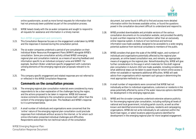

online questionnaire, as well as more formal requests for information that had not previously been published as part of the consultation process.

3.22. WRSE liaised closely with the six water companies and sought to respond to all requests for assistance and information in a timely manner.

#### Non-WRSE engagement and comments

- 3.23. This Consultation Response focuses on the engagement undertaken by WRSE and the responses it received during the consultation period.
- 3.24. The six water companies undertook a period of pre-consultation on their individual Water Resources Management Plans (WRMP) alongside WRSE's consultation. Some pre-consultation activity utilised WRSE's emerging regional plan and consultation material, as a means of securing feedback and information specific to an individual company's area and WRMP. For example, Southern Water undertook specific engagement with customers utilising elements of the emerging regional plan proposals relevant to its area.
- 3.25. This company specific engagement and related responses are not referred to or reflected in this WRSE Consultation Response.

### **Comments on the consultation process**

- 3.26. The emerging regional plan consultation materials were considered by many respondents to be a clear explanation of the challenges facing the region, and the actions proposed to be taken in response. WRSE did however receive comments relating to the consultation process itself, rather than the content of the emerging regional plan. This feedback and WRSE's response to it is summarised below.
- 3.27. A small number of individuals and organisations were concerned that the 'online' nature of the emerging regional plan consultation could preclude responses from individuals without access to the internet, or for whom such online information presented individual challenges and difficulties. Respondents welcomed the non-technical nature of the consultation

WRSE Emerging Regional Plan: Consultation Response Document **Page 8**

document, but some found it difficult to find and access more detailed information within the Annexes available online, or found the questions posed in the consultation document difficult to understand and respond to.

- 3.28. WRSE provided downloadable and printable versions of the various consultation documents on its consultation website, and provided the ability to post a written response to the consultation rather than an exclusively online response system. A mixture of non-technical and technical information was made available, designed to be accessible to a wide ranging potential audience from technical consultees to members of the public.
- 3.29. WRSE considers that given the scale of the WRSE region, and numbers of individuals and organisations potentially affected by the regional plan proposals, an online based consultation was, and remains, an appropriate means of engaging on the regional plan. Notwithstanding this, WRSE will give further consideration to the ways in which materials for the draft regional plan consultation in Autumn 2022 are made available, including considering what additional steps can be taken to assist those for whom online access is either not available or represents additional difficulties. WRSE will seek advice from organisations which represent such groups in determining the most appropriate methods to use.
- 3.30. A small number of respondents were concerned that WRSE had not individually written to individual organisations, customers or residents in the areas potentially affected by some of the water resources options identified for development in the emerging regional plan.
- 3.31. WRSE and the six water companies undertook extensive advance publicity for the emerging regional plan consultation, including notifying all levels of national and local government, including parish councils, as well as other known and identified environmental, business, residents and campaigning organisations. WRSE did not write individually to all customers within the South East region, or select locations adjoining options identified for development in the emerging regional plan for more targeted engagement.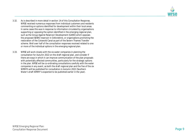

- 3.32. As is described in more detail in section 14 of this Consultation Response, WRSE received numerous responses from individual customers and residents commenting on options identified for development within their local areas. In some cases this was in response to information circulated by organisations supporting or opposing the option identified in the emerging regional plan, such as the Group Against Reservoir Development (GARD) which opposes the proposed SESRO reservoir in Oxfordshire, or organisations promoting the restoration of the Cotswold Canal as part of the Severn Thames Transfer scheme. Well over half of the consultation responses received related to one or more of the individual options in the emerging regional plan.
- 3.33. WRSE will work closely with the six water companies in planning the consultation for Autumn 2022 on the draft regional plan, and consider if there are ways in which it can improve communication of the plan proposals with potentially affected communities, particularly for the strategic options in the plan. WRSE will be co-ordinating consultations carefully with the water companies in any event, as both the draft regional plan and the five of the six WRMPs will be published for consultation in Autumn 2022 (Southern Water's draft WRMP is expected to be published earlier in the year).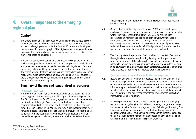

# **4. Overall responses to the emerging regional plan**

# **Context**

- 4.1. The emerging regional plan set out how WRSE planned to achieve a secure, resilient and sustainable supply of water for customers and other sectors, across a challenging range of potential futures. Whilst not a full draft plan, the emerging plan gave early sight of the big issues and emerging solutions to provide the opportunity for stakeholders to provide their feedback as the plan continues to be developed.
- 4.2. The plan set out how the combined challenges of leaving more water in the environment, population growth and climate change meant that significant additional resources would be needed, despite reducing demand for water by tackling leakage and helping people use less at the forefront of activity. The emerging plan identified a mix of solution types which will provide more resilient and sustainable water supplies, developing new water sources so there is enough for everyone, including during droughts and other events that can affect our water supplies.

# **Summary of themes and issues raised in responses**

#### Regulatory responses

4.3. The Environment Agency (EA) commended WRSE on the publication of an emerging plan that met the majority of its expectations for a regional plan. The EA considered that WRSE's emerging regional plan mostly demonstrates that it will meet the region's water needs, protect and enhance the environment, and reflect the needs of other sectors in the short and longterm. It recognised that WRSE had undertaken a significant amount of work, however it noted that there is still a considerable amount to do for the best value plan. It made a series of recommendations for additional work on demand management and drought measures, environmental destination,

adaptive planning and monitoring, testing the regional plan, options and decision making.

- 4.4. Ofwat noted that it has high expectations of WRSE, as it is the longest established regional group, and the region it covers faces the greatest public water supply challenges. It found that the emerging regional plan represented an impressive and complex body of work. Ofwat raised a number of specific points in its response (summarised later in this document), but noted that the comparatively wide range of points raised reflected the amount of material WRSE had published (compared to other regions) and the sophistication of the approaches developed.
- 4.5. The Drinking Water Inspectorate (DWI) provided comments to feed into all the regional groups preparing plans, highlighting that it expects water suppliers to ensure that they always plan to meet their statutory obligations relating to the quality of drinking supplies. When developing plans for new supplies, water quality risks must be fully considered. Additional comments were provided on option types, reported later in this document.

#### Questionnaires, organisational and individual responses

- 4.6. Natural England (NE) stated that it supported the emerging plan, but with caution, noting more work needs to be done on environmental assessments such as HRA, SEA and natural capital assessments. It considered that as the information provided was limited it could not conclude whether the options selected in the plan provide the most beneficial environmental outcomes to meet all statutory and policy requirements for environmental protection, improvement, and restoration.
- 4.7. Many respondents welcomed the work that had gone into the emerging regional plan, recognising the difficulties of preparing a long-term strategy for the region in the face of the range and scale of challenges it is facing. The increased emphasis on environmental protection through abstraction reduction was specifically supported, and respondents generally supported the twin track of demand management and resource development, albeit with comments on the details of the specific proposals.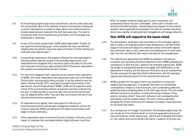

- 4.8. As the emerging regional plan was a cost-efficient, and not a best value plan, the cost-focused nature of the selection of options and decision-making was a concern expressed by a number of respondents, who looked forward to broader based decision making for the draft best value plan. The need to incorporate wider environmental and social factors into the strategy was emphasised in responses.
- 4.9. As part of the online questionnaire, WRSE asked respondents "*Overall, do you agree that the emerging plan, which presents the most cost-efficient adaptive planning solution, should be used as the basis to further develop our draft best value regional plan?".*
- 4.10. Unsurprisingly responses to this question reflected the views expressed on individual options selected as part of the emerging regional plan, with respondents who disagreed that it should be used as the basis for the draft best value plan amounting to approximately 82% of those who responded to this question (excluding blanks and don't knows).
- 4.11. For many who disagreed, their response was as a result of their opposition to SESRO, with other respondents also opposing the plan due to the Havant Thicket water recycling option being included, or as they wished to see the Severn Thames Transfer (STT) canal option brought forward earlier in the plan period, and prioritised ahead of SESRO. GARD and its supporters were critical of the environmental ambition and growth scenarios underpinning the plan, considering them to be worst case, and concerned that the plan was not adaptive before 2040. They were also concerned at the lack of cost data and environmental assessments.
- 4.12. Of respondents who agreed, there was support for the focus on environmental ambition and demand management measures, and for the long term approach WRSE was taking and the need to ensure plans could adapt to future uncertainty.
- 4.13. Other respondents were concerned at the lack of details in the plan on the impact on customer bills, and asked whether higher bills were 'worth the

effort' for greater resilience based upon so much uncertainty, and questioned whether the plan is affordable. Others didn't consider cost should be the defining factor, instead supporting long term environmental benefits. Some supported the proposals in the plan but wanted everything done more urgently, including demand management and leakage reduction.

# **How WRSE will respond to the issues raised**

- 4.14. The development, publication and consultation on the emerging regional plan is a step in an ongoing process of plan development, and that further stages of technical work would be undertaken ahead of the draft regional plan publication later in 2022, particularly the development of a best value plan from the cost-efficient plan used as the basis for the emerging plan.
- 4.15. The methods and approaches that WRSE has adopted in the plan are consistent with the series of Method Statements which WRSE published and consulted on in 2020 and 2021, ahead of the emerging regional plan. WRSE has sought to transparently explain and engage with stakeholders on the approaches it is taking, and the data and information sources underpinning the plan proposals through these Method Statements, with the emerging regional plan being the product of the resulting technical work.
- 4.16. WRSE is grateful for the support that it has received for its long term adaptive planning approach. It recognises that there are considerable uncertainties in relation to future forecasts, and is undertaking additional sensitivity testing modelling ahead of the draft regional plan. This will enable different scenarios to be tested, including the timing of delivery of key options, including 'what if' they aren't delivered, and investigating what alternatives could be needed instead. This work is being undertaken alongside the further technical work necessary to prepare a best value plan for the South East region.
- 4.17. As a consequence of its stage of publication, the emerging regional plan did not include all of the technical detail nor technical appendices that would have accompanied a draft regional plan, and the lack of detailed information on cost, carbon and environmental information in support of the plan was

WRSE Emerging Regional Plan: Consultation Response Document **Page 11**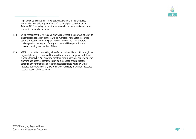

highlighted as a concern in responses. WRSE will make more detailed information available as part of its draft regional plan consultation in Autumn 2022, including more information on bill impacts, costs and carbon and environmental assessments.

- 4.18. WRSE recognises that its regional plan will not meet the approval of all of its stakeholders, especially as there will be numerous new water resources options proposed within the plan in order to meet the scale of future challenges that the region is facing, and there will be opposition and concerns relating to a number of them.
- 4.19. WRSE is committed to working with affected stakeholders, both through the regional planning process, and through the six water companies individual work on their WRMPs. This work, together with subsequent applications for planning and other consents will provide a means to ensure that the potential environmental and other impacts associated with new water resource options will be fully explored, with necessary mitigation measures secured as part of the schemes.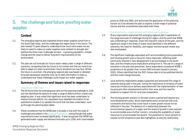

# <span id="page-15-0"></span>**5. The challenge and future proofing water supplies**

# **Context**

- 5.1. The emerging regional plan explained where water supplies come from in the South East today, and the challenges the region faces in the future. The plan looked 75 years ahead to understand how much extra water we are likely to need to make our water supplies more resilient to drought and address the three main challenges we face – a growing population, climate change and the need to deliver long-term improvements to the environment.
- 5.2. The plan set out forecasts for future water needs under a range of different scenarios, recognising that the future is not certain and that we need to be able to adapt our plans to whichever future situations we may face. Whilst the future is uncertain, the emerging regional plan was based on detailed forecasts developed using the most up-to-date information to help us understand how these challenges could impact our water supplies.

# **Summary of themes and issues raised in responses**

#### Regulatory responses

- 5.3. The EA found that the emerging plan sets out the planning challenge to 2100 and has identified the options to meet a range of deficits within a least-cost adaptive plan. It was noted that significant work has been undertaken to resolve forecast deficits, but requested more detailed information to be published to enable it to validate the work that has been undertaken, such as through the planning data tables.
- 5.4. Ofwat considered that the WRSE plan is broadly in line with the scale of challenges articulated in the [National Framework](#page-15-0), noting though that water requirements have increased significantly. It was recognised that WRSE has generated water supply and demand forecasts up to 2100, with intermediate

points at 2040 and 2060, and welcomed the application of this planning horizon as it has allowed the plan to explore a wide range of potential futures and the uncertainties associated with these.

#### Questionnaires, organisational and individual responses

- 5.5. Many respondents welcomed the emerging regional plan's explanation of the range and scale of challenges facing the region, and the work that WRSE was undertaking in response. Given the long term nature of the plan, and the significant range in the levels of water need identified in the different scenarios, the need for flexibility, and regular monitoring and review was also emphasised.
- 5.6. The significant challenges associated with accommodating future population and housing growth were a focus for many responses, reflecting wider community interest in how development Is accommodated in the South East, and the infrastructure implications arising from it. The use of a range of scenarios in the plan was welcomed. Some respondents considered WRSE's projections to be greater than current ONS forecasts (issued in January 2022). Others identified that the 2021 Census data is to be published shortly and this could change forecasts.
- 5.7. Local authority respondents largely supported and welcomed the range of scenarios being used in the plan, noting the importance of certainty of water resources infrastructure delivery associated with the implementation of new housing and other developments within their area, and the need for evidence to support this for local plan preparation.
- 5.8. The housing growth scenario in the plan covers a period well beyond any local development plans. Some respondents were concerned that local constraints and factors that could result in lower growth would not be reflected in the plan. The absence of a relationship between the environmental capacity of a region and the levels of growth it was required to accommodate was a further concern, including the availability of water resources to accommodate the growth. The potential for future growth to exceed current projections was also highlighted, as was the relationship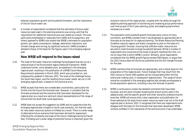

between population growth and household formation, and the importance of this for future water use.

5.9. A number of respondents considered that the estimates of future water resources need used in the planning scenarios was wrong, and that the requirement for additional resources was over-stated as a result. This was particularly emphasised in responses from GARD and its supporters, and others opposed to SESRO who stated that WRSE's estimates for population growth, per capita consumption, leakage, abstraction reductions, and climate change were wrong, by significant amounts. GARD provided a detailed critique of the basis for the figures used in the emerging regional plan.

### **How WRSE will respond to the issues raised**

- 5.10. The scale of the water resources challenge facing England was set out at a national level in the Environment Agency National Framework. WRSE undertook further, more detailed work, as explained in the emerging regional plan, resulting in the publication of a WRSE Future Resources Requirements statement in March 2020, which was consulted on, and subsequently updated in February 2021. The scale of the challenge facing the South East region, and the resulting future water needs set out in the emerging regional plan, is based on this technical work.
- 5.11. WRSE accepts that there are considerable uncertainties, particularly the further into the future the forecasts look. However, it considers that the forecasts produced and the scenarios that have been developed for the regional plan as a result are valid and robust representations of the range of futures that the South East could experience.
- 5.12. WRSE does not accept the suggestion by GARD and its supporters that the emerging regional plan is based on worst case scenarios, nor that the need for new water resources options is inflated as a result. There is a wide range of alternative future scenarios that have been derived for assessment, reflecting the complexity and scale of the future challenges facing the South East. Providing such a wide range of potential futures is important given the

long term nature of the regional plan, coupled with the ability through the adaptive planning approach of monitoring and reviewing actual performance over time as part of the 5 year planning cycles, and adapting plans where necessary as a result.

- 5.13. The population and household growth forecasts were a focus of many comments, and WRSE considers that it has developed an appropriate set of forecasts as the basis for its regional planning. The Water Resources Planning Guideline requires regions and water companies to plan on the basis of a 'housing growth' forecast, ensuring that sufficient water resources are secured to meet forecast increase household demand. Whilst a number of respondents are concerned at the levels of growth resulting from this, it is not an issue that is within WRSE's control. Similarly, some respondents considered that the WRSE growth figures exceed ONS figures, or argue that the 2021 Census data will shortly be published and this will change the basis for the plan.
- 5.14. WRSE maintains that its forecasts are appropriate, and a robust basis for the preparation of the regional plan. Future changes that may result from the 2021 Census or future ONS updates can be incorporated within the five yearly plan making cycle, in subsequent regional plans. The range of future scenarios considered in the emerging regional plan already encompasses a broad population spectrum, including a very low forecast of growth.
- 5.15. WRSE is continuing to review the detailed comments that have been received, and this work includes reviewing the branch points used in the adaptive plan, and the specific growth and other scenarios underpinning the branches. WRSE will ensure that a clear explanation and justification for those selected as the basis future water resources need is set out in the draft regional plan in Autumn 2022. It recognises that there are respondents who disagree with the basis for the forecasts that have been developed. WRSE remains confident in the robustness of the technical work it has undertaken.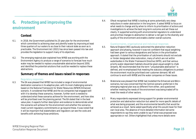

# **6. Protecting and improving the environment**

# **Context**

- 6.1. In 2018, the Government published its 25-year plan for the environment which committed to achieving clean and plentiful water by improving at least three quarters of our waters to as close to their natural state as soon as is practicable. The Environment Act (2021) has since been passed into law and provides the legislation to support many of its objectives.
- 6.2. The emerging regional plan explained how WRSE was working with the Environment Agency to produce a range of scenarios to forecast how much water may be needed to replace unsustainable abstraction beyond 2050, and identified the potential solutions that could be needed to replace these abstractions.

### **Summary of themes and issues raised in responses**

#### Regulatory responses

6.3. The EA was pleased that WRSE has included a range of environmental destination scenarios in its adaptive plan, with its most challenging scenario based on the National Framework for Water Resources (NFWR) Enhanced scenario. It considered that WRSE and the six companies had engaged well with it to develop these scenarios, however, further work is needed to understand what these scenarios achieve for the environment, and how sites will be prioritised over the planning period. The EA stated that in the best value plan, it expects further description and evidence to demonstrate what the scenarios will achieve for the environment and whether the scenarios meet current regulatory commitments or go beyond these. It was noted that it will be important that stakeholders and regulators can see the costs and benefits with achieving those ambitions.

6.4. Ofwat recognised that WRSE is looking at some potentially very deep reductions in water abstraction in the long term. It asked WRSE to focus on what needs to change and by when to inform its prioritisation of actions and investigations to achieve the best long-term outcome and set these out clearly. It supported working with environmental regulators to understand and prioritise changes to abstraction to deliver a net gain to the diversity and quality of the environment and enable a better overall outcome.

#### Questionnaires, organisational and individual responses

- 6.5. Natural England (NE) cautiously welcomed the abstraction reduction approach and phasing, however it was not confident that equal weighting had been given to various designations and factors in the prioritisation approach. It stated that the prioritisation of catchments should not exclude or hinder designated sites restoration, many of which are not within waterbodies in the Water Framework Directive (WFD), and that various priority water-dependant habitats should be given equal weight to chalk streams. NE recommended that the term "unsustainable abstraction" is defined, and re-emphasised that meeting the statutory obligations to protect the environment must be prioritised over customer demand. NE will continue to work with WRSE and the water companies on these issues.
- 6.6. Waterwise was pleased that WRSE had modelled the Enhanced and BAU+ scenarios, but was concerned that the Central scenario preferred in the emerging regional plan was so different from either, and questioned whether meeting the needs of the environment was being traded off to meet the needs of other sectors.
- 6.7. Many respondents expressed strong support for greater environmental protection and abstraction reduction but asked for more specific details of what was being proposed, and the environmental benefits that would be achieved as a result. Some asked specifically what this would mean for their own local area. The absence of more detailed information led some respondents to say they were unable to say if what was proposed was appropriate or not. Others highlighted that unless more details were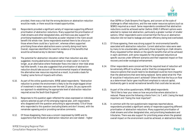

provided, there was a risk that the wrong decisions on abstraction reduction would be made, or there would be missed opportunities.

- 6.8. Respondents provided a significant variety of responses supporting different prioritisation of abstraction reductions. Many supported the prioritisation of chalk streams and other designated sites, and there was also support for prioritising headwaters and tributaries as water retained in the rivers would benefit the whole river. Some respondents wanted there to be a focus on those where there could be a 'quick win', whereas others supported prioritising those where abstractions were currently doing most harm. Overall, responses identified the need for evidence of the benefits that would be achieved as key to decision making.
- 6.9. The potential for abstraction relocation rather than reduction was also suggested, moving abstractions downstream to retain water in rivers for longer, as an alternative where freshwater flows into tidal or inter-tidal areas had little benefit. It was also suggested that prioritisation of abstraction reduction should take account of the environmental impacts of developing the alternative new resources required as a result, to provide a basis for 'trading' some forms of impacts with others.
- 6.10. As part of the online questionnaire, WRSE asked respondents: "*Abstraction reduction to protect the environment is likely to be the single biggest driver of investment in water resources over the next 25 years. Do you agree with our approach to establishing the appropriate level of abstraction reduction required across the South East England?".*
- 6.11. Responses to this question again reflected the views expressed on individual options selected as part of the emerging regional plan, with respondents who disagreed with the question amounting to approximately 71% of those who responded to this question (excluding blanks and don't knows), with the remainder agreeing and/or providing narrative comments.
- 6.12. Of those disagreeing, there was a concern (expressed by GARD and its supporters) that the levels of abstraction reduction are over-stated – higher

than DEFRA or Chalk Streams First figures, and concern at the scale of challenge to offset reductions, and the new water resources options (such as SESRO) required as a result. Some respondents considered that abstraction reductions could be achieved earlier (before 2040) if different options were selected to replace lost abstraction, particularly a greater number of smaller options. Other respondents were concerned that the focus on abstraction reduction did not lead to leakage and water efficiency being lost/overlooked.

- 6.13. Of those agreeing, there was strong support for environmental benefits associated with abstraction reduction. Current abstraction rates were seen by many to be unsustainable, particularly those impacting on chalk streams. Many requested further details on the specific benefits that will be achieved in each catchment, with some requests for the proposed reductions at specific sources under different scenarios and their expected impact on flow recovery and wider ecological enhancement.
- 6.14. Other respondents were concerned that the required level of reduction will be extremely difficult to achieve, and/or that the consequential new resource options that would need to be developed could be more impactful than the abstractions that were being replaced. Some asked what the 'Plan B' would be if reductions aren't achieved? Others felt that the focus on flow as a determinant factor gave insufficient emphasis to natural capital, biodiversity gain & social/recreational benefits that could also be secured.
- 6.15. As part of the online questionnaire, WRSE asked respondents "*We'd like to hear your views on how we prioritise where abstraction is reduced. Please score the following criteria from 1 to 7, with 1 being the least important and 7 being the most important".*
- 6.16. In common with the non-questionnaire responses reported above, respondents provided a significant variety of responses supporting different prioritisation of abstraction reductions. Many supported prioritisation of chalk streams and other designated sites, and prioritising headwaters and tributaries. There was also support for prioritising areas where the greatest overall impact on the environment could be achieved, or abstractions likely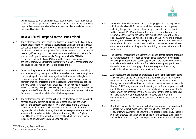

to be impacted early by climate impacts, over those that have resilience, to enable time for adaptation within the environment. Another suggestion was to prioritise areas where alternative sources of supply are available or are more readily deliverable.

# **How WRSE will respond to the issues raised**

- 6.17. The abstraction reductions being investigated are driven by the EA's duty to ensure that abstraction licences are sustainable. WRSE and the six individual companies are seeking to comply with an Environmental Flow Indicator (EFI) requirement, which when applied to flows within rivers and catchments will have a significant impact on the amount of water available within them for abstraction for public water supply. Compliance with the EFI is the requirement set by the EA and WRSE and the six water companies are seeking to comply with this through identifying a range of scenarios for how this could be achieved, and over which period of time.
- 6.18. As part of the preparation of the draft regional plan, WRSE is undertaking additional sensitivity testing around the timescales for achieving compliance and the glidepath towards it. Varying either the timescale or the glidepath changes the scale of abstraction reductions that need to be met by specific points in time, and therefore affects the resulting water resources deficits and new water resources options that need to be developed in response. WRSE is also undertaking its best value planning process, enabling it to move beyond a cost-efficient plan and consider how wider priorities and customer focus would change the details of what is being proposed.
- 6.19. The abstraction reduction scenarios have been developed by the individual companies, drawing from, and building on, those issued by the EA. In general, the company scenarios are lower than those of the EA. WRSE is continuing to discuss the consideration of abstraction reductions into the regional plan with the EA. It recognises that some respondents feel that the scale of reductions is overstated, whereas others (e.g. Natural England) would like to see faster and further progress than that currently planned, including to deliver wider environmental benefits.
- 6.20. A recurring theme in comments on the emerging plan was the request for additional details and information on abstraction reductions proposals, including the specific changes that are being proposed, and the benefits that will be secured. WRSE's draft plan will set out its proposed approach and programme for achieving the abstraction reductions in the draft regional plan in Autumn 2022. This will be at a regional level, however the individual company draft WRMPs that are to be published for consultation will include more information at a company level. WRSE and the companies will also set out more information on the plans for prioritising catchments for abstraction reductions.
- 6.21. The potential implications arising from EA planned licence capping proposals is a further factor that will need to be taken into account. Companies are reviewing their response to licence capping and there could be the potential to accelerate abstraction reduction. The details are company specific and dependent on alternative supply options being capable of becoming available to mitigate any impacts on public water supplies.
- 6.22. At this stage, the benefits can be articulated in terms of the EFI target being achieved, and thus the 'flow' benefit that would result from an abstraction reduction. Further details will only be capable of being demonstrated through more detailed investigations that are to be undertaken, for example through WINEP programmes, over the coming years. These programmes will enable the water companies and environmental and economic regulators to work through the uncertainties that exist, and to identify detailed proposals that take account of affordability and bill impacts, along with the environmental costs and benefits of solutions to offset planned abstraction reductions.
- 6.23. Our draft regional plan this autumn will set out our proposed approach and glidepath towards achieving abstraction reductions as the basis for consultation. WRSE intends to ensure that its approach is adaptive, enabling sufficient progress and action to be planned for and achieved over the short and medium term to 2040, so that any of the environmental scenarios could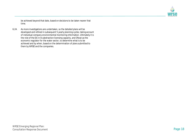

be achieved beyond that date, based on decisions to be taken nearer that time.

6.24. As more investigations are undertaken, so the detailed plans will be developed and refined in subsequent 5 yearly planning cycles, taking account of individual company environmental monitoring information. Ultimately it is the role of the EA in its abstraction licensing capacity, and Ofwat as the economic regulator for the water sector, to determine what is to be achieved and by when, based on the determination of plans submitted to them by WRSE and the companies.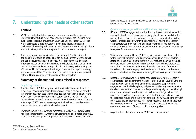

# **7. Understanding the needs of other sectors**

### **Context**

- 7.1. WRSE has worked with the main water-using sectors in the region to understand their future water needs and how resilient their existing water supplies are to serious droughts. In South East England, about 97% of the water abstracted is used by water companies to supply homes and businesses. The rest is predominantly used to generate power, by agriculture and horticulture, and to produce paper in certain areas of the region.
- 7.2. The emerging regional plan identified that nearly 100 million litres of additional water could be needed per day by 2060, primarily by the power and paper industries, and some horticultural users for trickle irrigation. Through engagement with these sectors they indicated that they can meet most of this increased need using their existing licences, by becoming more efficient and by increasing on-site storage. However, the paper and energy sectors requested that 30 million litres is included in the regional plan and delivered through options that could benefit other sectors.

# **Summary of themes and issues raised in responses**

#### Regulatory responses

- 7.3. The EA noted that WRSE has progressed work to better understand the wider water needs in its region. It considered it should be clearer how this information has been used to influence decision making in the plan, or the wider needs have been considered as part of options appraisal for the region. The EA looked forward to the further work WRSE is undertaking and encouraged WRSE to continue engagement with all sectors and consider whether options can provide multi-sector benefit.
- 7.4. Ofwat welcomed WRSE's work to forecast non-public water supply water needs and integrate these within the investment model. It stated that WRSE should continue to explore non-public water supply water needs and refine

forecasts based on engagement with other sectors, ensuring potential growth areas are investigated.

#### Questionnaires, organisational and individual responses

- 7.5. NE found WRSE's engagement positive, but considered that further work is needed to develop and bring more certainty of multi sector needs for the region. It noted that these have water resource challenges that impact on water sources and supply within the environment. Raising awareness in other sectors was important to highlight environmental implications and demonstrate why their contribution and better management of water usage is required for nature conservation.
- 7.6. Waterwise was pleased to see WRSE engaging with a range of non-public water supply abstractors, including from paper and horticulture sectors. It stated this was a major step forward in water resource planning, although there are a lot of uncertainties in predictions of future needs. Waterwise noted that there is a need to improve the understanding of future nonhousehold public water supply needs and opportunities for non-household demand reduction, as it is an area where significant savings could be made.
- 7.7. Responses were received from organisations representing water users in other sectors, including from the National Farmers Union, Country Land and Business Association and RWE, and others. Responses supported the engagement that had taken place, and planned further engagement on the details of the needs of those sectors. Respondents highlighted that although a small proportion of overall water use, sectors such as agriculture and power are critical for energy and food security. Particular challenges facing those sectors include the move to net zero carbon by 2050, and the drive for more sustainable on farm agricultural water supplies. Future demands from those sectors are uncertain, and there is a need to ensure they are not overlooked as a result of focus on public water supplies.
- 7.8. As part of the online questionnaire, WRSE asked respondents: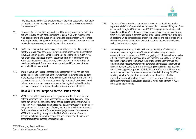

"*We have assessed the future water needs of the other sectors that don't rely on the public water supply provided by water companies. Do you agree with our assessment?".*

- 7.9. Responses to this question again reflected the views expressed on individual options selected as part of the emerging regional plan, with respondents who disagreed with the question amounting to approximately 77% of those who responded to this question (excluding blanks and don't knows), with the remainder agreeing and/or providing narrative comments.
- 7.10. GARD and its supporters (who disagreed with the assessment), considered that there was a need for greater involvement of other sector stakeholders in WRSE decision making. Other respondents questioned how much WRSE had challenged the needs of other sectors and promoted efficiency and water use reduction in those sectors, rather than just incorporating their needs unchallenged. Some respondents questioned if the need of other sectors had been overstated.
- 7.11. There was support in responses for the engagement WRSE has had with other sectors, and recognition of the further work that remains to be done. More detailed information on other sector needs was requested, and it was suggested that as their future needs were highly uncertain, WRSE will need to keep forecasts under review – for example as agricultural and industry practices change over time, and they become more water efficient.

# **How WRSE will respond to the issues raised**

7.12. WRSE is committed to continuing its engagement with other sectors, to better understand their future water resources needs and consider how those can be met alongside the other challenges facing the region. Whilst long-term water resources planning is a key activity for water companies, for many sectors this is a new area of focus, and one for which there is a need for further development of forecasting and projections of future needs. WRSE will be working closely with the Multi-Sector Advisory Group in seeking to achieve this, and to reduce the level of uncertainties in other sector forecasts for subsequent regional plans.

- 7.13. The scale of water use by other sectors is lower in the South East region (approximately 3% of demand) than, for example in the east of England (25% of demand, rising to 40% at peak), and WRSE's engagement and approach has reflected this. Water Resources East's governance structure is different from WRSE's as a result, something identified in responses by GARD and its supporters. WRSE considers it approach to be robust and appropriate given the contribution of other sector demand as part of the overall challenges facing the South East region.
- 7.14. Some respondents asked WRSE to challenge the needs of other sectors more, and to encourage water efficiency and water saving amongst organisations in those sectors. WRSE is engaging with these sectors on water efficiency measures, both individually and collectively, and there is a driver for these organisations to improve their efficiency for both financial and environmental reasons. Other sector partners had indicated that much of forecast demand could be met within existing licence limits, however the EA's licence capping proposals could significantly affect the ability of other sectors to meet their future water resources needs in this way. WRSE is working with the EA and other sectors to understand the potential implications arising from this. If those licences are capped, this could significantly increase the levels of additional water needed from WRSE to meet other sector needs.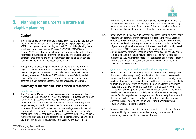

# **8. Planning for an uncertain future and adaptive planning**

# **Context**

- 8.1. The further ahead we look the more uncertain the future is. To help us make the right investment decisions the emerging regional plan explained how WRSE is taking an adaptive planning approach. This split the planning period into three phases over the next 75 years (2025-2040, 2040-2060, and beyond 2060), and set out nine pathways each of which reflected a different future scenario, made up of different combinations of population growth, climate change impacts and levels of abstraction reduction so we can see how much extra water will be needed under each.
- 8.2. This approach enables the plan to identify all the potential options that might be needed, under the range of scenarios, including how we might need to change the options we choose to deliver as we move from one pathway to another. This allows WRSE to take action sufficiently early to adapt to the more challenging scenarios as they emerge, and develop schemes in a way that minimises the risk of unnecessary investment.

# **Summary of themes and issues raised in responses**

#### Regulatory responses

8.3. The EA welcomed WRSE's adaptive planning approach, recognising that the work WRSE has undertaken is complex and ambitious. It questioned whether not identifying a specific pathway as a preferred pathway meets the expectations of the Water Resources Planning Guideline (WRMPG). With a single pathway for the first 15 years, the EA considered it unclear what actions would be taken if the assumed demand savings were not achieved and what alternative options would be needed to make up any shortfall in demand reductions, although it noted WRSE has stated the need to include a monitoring plan as part of the adaptive plan implementation. In developing the draft regional plan the EA suggested WRSE should consider further

testing of the assumptions for the branch points, including the timings, the impact on deployable output of moving to 1:500 and other climate change scenarios in the short-term if appropriate. This should provide confidence in the adaptive plan and the options that have been selected and when.

8.4. Ofwat asked WRSE to explain its approach to adaptive planning more clearly including why pathway branch points are excluded in the first 15 years. It supported WRSE taking an adaptive planning approach, but asked WRSE to revisit and explain its thinking on the exclusion of branch points in the first 15 years and explore whether uncertainties are present which justify branch points prior to 2040. It suggested that both the drought resilience target date and adaptive pathway trigger point date are tested individually, and in combination, and this should include flexing the 1 in 500 year drought resilience to 2050 where more flexibility is considered appropriate to identify if there are significant cost savings or additional benefits that could be achieved from moving dates.

#### Questionnaires, organisational and individual responses

- 8.5. NE asked for more information regarding the scenarios and pathways (and the process determining these), including the criteria used to assess each pathway and scenario to validate that environmental statutory obligations can be met within all scenarios. NE supported further assessment (sensitivity tests) to inform the decision points of the best value adaptive plan. It also noted that the plan will need to track progress and be adapted within the first 15 years should options not be achieved. NE considered the approach of treating each pathway as equally likely and not choose a core pathway beyond 2040 as logical given the large amount of uncertainty. It considered that the best value plan needs to be flexible within its adaptive planning approach in order to prioritise and deliver the most appropriate and environmentally compliant solutions.
- 8.6. Waterwise noted that there is a lot of uncertainties in predictions of future needs, and in light of these uncertainties, looking at scenarios and developing an adaptive plan makes a lot of sense.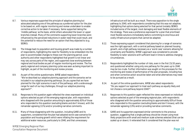

- 8.7. Various responses supported the principle of adaptive planning but advocated adopting one of the pathways as a preferred option for the plan to be based on, with regular monitoring and review undertaken to enable corrective action to be taken if necessary. Some supported taking the 'middle pathway' as the basis, whilst others advocated the lower or upper branches instead. Many of the comments supporting lower branches were influenced by the perceived reductions in water need that could result, and the potential to reduce the need for an option that they objected to (e.g. SESRO).
- 8.8. The linkage back to population and housing growth was made by a number of respondents, highlighting the need for flexibility to be embedded into the plan to accommodate changes to these over the planning period. Local authority and other respondents highlighted that growth is not linear and may vary across parts of the region, and supported close working between regional and local bodies as part of regular monitoring and review. The five yearly regional and company planning cycles was seen as being important to highlight, as part of the monitoring and review process.
- 8.9. As part of the online questionnaire, WRSE asked respondents: "*We've described our adaptive planning approach and the scenarios we've included in our adaptive planning pathways. Do you agree that we have planned for the right scenarios in each of the pathways, with a wide enough range for each of our key challenges, through our adaptive planning approach?".*
- 8.10. Responses to this question again reflected the views expressed on individual options selected as part of the emerging regional plan, with respondents who disagreed with the question amounting to approximately 83% of those who responded to this question (excluding blanks and don't knows), with the remainder agreeing (11%) and/or providing narrative comments.
- 8.11. Many of those disagreeing with the question, including GARD and its supporters, considered that the plan had adopted worst case scenarios for population and housing growth which were inflating the requirement for additional water resources, particularly to 2040, and that unnecessary

WRSE Emerging Regional Plan: Consultation Response Document **Page 22**

infrastructure will be built as a result. There was opposition to the single pathway to 2040, with respondents considering that this was not adaptive, highlighting that options being selected for that period (notably SESRO) included some of the largest, most damaging and least flexible elements of the strategy. There was a preference expressed for a plan that prioritised most flexible solutions immediately before committing to enormous and costly infrastructure projects that cannot be adapted.

- 8.12. Those expressing support considered that planning for a range of scenarios was the right approach, with a central pathway based on planned housing growth, and a high pathway necessary as a 'worst case' scenario allowing for uncertainty and flexibility. WRSE's approach was considered to provide flexibility to tailor solutions with sufficient lead in times to address changing circumstances.
- 8.13. Respondents highlighted the number of risks, even in the first 15/20 years, and questioned whether using only one pathway for the years up to 2040 may be too crude. Further information was sought on the processes for the monitoring and review of performance of the plan proposals, including how and when corrective action would be taken and what alternatives may need to be pursued as a result.
- 8.14. As part of the online questionnaire, WRSE also asked respondents: *"Do you support our approach to treat each pathway as equally likely and not choose a core pathway beyond 2040?".*
- 8.15. Responses to this question again reflected the views expressed on individual options selected as part of the emerging regional plan, with respondents who disagreed with the question amounting to approximately 83% of those who responded to this question (excluding blanks and don't knows), with the remainder agreeing (13%) and/or providing narrative comments.
- 8.16. GARD and its supporters expressed similar comments to the previous question, suggesting that a single pathway should be chosen using most likely projections with small and medium scale schemes selected (that can be scaled up or down). It reiterated that it considered that the plan was not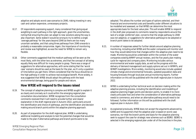

adaptive and adopts worst case scenarios to 2040, risking investing in very cash and carbon expensive, unnecessary projects.

- 8.17. Of respondents expressing support, many considered that giving equal weighting to each pathway is the right approach, given the uncertainties, noting that ensuring the plan can adapt to new solutions along the way is also important. Some stated it would be wrong to try to define a single 'average pathway' for the years beyond 2040 as there are too many uncertain variables, and that using three pathways from 2040 onwards is probably a reasonable compromise. Again, the importance of monitoring and review was highlighted, as was the need for WRSE to remain very flexible.
- 8.18. Other comments suggested that the medium pathway will be seen as the most likely, with the other two as extremes, and that the concept of all being equally likely was difficult for many people to grasp. There was a range of suggestions for alternative approaches, with some stating that the 'worst case' scenario should be used as the basis for the plan, as it's only a question of time before you get there. Others considered that the focus should be on the high pathway in order to achieve real ecological benefit. More widely, it was suggested that WRSE should adopt the pathway with the least environmental damage, being good for people and nature.

### **How WRSE will respond to the issues raised**

- 8.19. The concept of adaptive planning is complex and WRSE sought to explain it as clearly and concisely as it could within the emerging regional plan consultation documentation. WRSE recognises from the consultation comments received that it will need to provide further and clearer explanation in the draft regional plan in Autumn 2022, particularly around the identification and choice of pathways, and the identification and decision making around branch points within the adaptive planning approach.
- 8.20. As part of preparation for the draft regional plan, WRSE is undertaking additional modelling and analysis to test the potential changes that would be made to the plan if alternative pathways and branch points were to be

adopted. This allows the number and types of options selected, and their financial and environmental costs and benefits under different situations to be modelled and assessed, so that WRSE can determine the most appropriate basis for the best value plan. This will enable WRSE to respond in the draft plan proposals to comments raised by respondents around the lack of a single 'preferred' plan, concerns that the single pathway to 2040 was not adaptive, or suggestions for alternative pathways to be adopted or branch point dates to be adopted.

- 8.21. A number of responses asked for further details around adaptive planning monitoring, including what WRSE and the water companies will monitor and how they would determine that changes within the adaptive plan need to be made. Monitoring would be undertaken within the context of the water companies existing WRMP annual reviews, and the five yearly plan making cycle for regional and company plans. Monitoring includes various environmental and water supply data, as well as the progress with the delivery of demand management and supply options set out in WRMPs, and WINEP investigations. More widely, monitoring would also include updated climate change and environmental forecasts, updated population data and housing forecasts through local plan annual monitoring reports. Further information on this will be published with the draft regional plan in Autumn 2022.
- 8.22. WRSE is undertaking further technical work on decision making within the adaptive planning process, including the identification and modelling of adaptive planning trigger points and decision points, to enable it to more clearly articulate how and when the consideration of alternative pathways needs to commence, and when an alternative pathway would need to be followed. Further information on this will be published with the draft regional plan in Autumn 2022.
- 8.23. As explained previously, WRSE does not accept the arguments advanced by GARD and its supporters that the adaptive plan is based on worst case scenarios, nor that the branch points and basis for the adaptive planning seek to support the case for strategic new schemes such as SESRO. SESRO is selected in the emerging regional plan under all of the branches in the plan,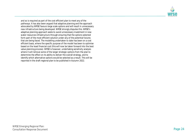

and so is required as part of the cost efficient plan to meet any of the pathways. It has also been argued that adaptive planning and the approach advocated by WRSE favours large scale options and will result in unnecessary new infrastructure being developed. WRSE strongly disputes this. WRSE's adaptive planning approach seeks to avoid unnecessary investment in new water resources infrastructure through ensuring that the options selected form part of the most efficient solution under any of the potential futures that are being faced. The modelling undertaken to date has been on a cost efficient basis, where the specific purpose of the model has been to optimise based on the least financial cost (this will now be taken forward into the best value planning process). WRSE is however, undertaking sensitivity analysis where it will remove some of the larger strategic options from the plan to determine the effect on its ability to deliver the overall strategy, and to identify which alternative options would be selected as a result. This will be reported in the draft regional plan to be published in Autumn 2022.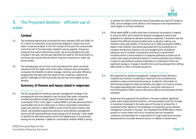

# **9. The Proposed Solution – efficient use of water**

# **Context**

- 9.1. The emerging regional plan promoted the need, between 2025 and 2040, for £5.1 billion of investment across South East England to reduce how much water is used and wasted. In the first 15 years of the plan this could provide more than half of the total water needed to secure supplies. Temporary measures that reduce discretionary water use during droughts were also included in the plan, and the plan identified the need for the Government to introduce new policies that will deliver long-term reductions in water use across society.
- 9.2. The emerging plan set out how much total demand for water should be reduced across the region and in each water company area, giving water companies the flexibility to deliver leakage, metering, and water efficiency programmes that best meet the needs of their customers, address the specific challenges of their local areas and use new technologies as they develop.

# **Summary of themes and issues raised in responses**

#### Regulatory responses

9.3. The EA recognised the ambitious demand management strategy in the emerging plan and was pleased to see the South East water companies considering ambitious targets given the historically high per capita consumption (PCC) in the region. It asked WRSE to provide assurance that it is achievable and can be relied upon to reduce consumption and balance supply and demand. It asked WRSE to ensure that the plan contains clear, robust, and detailed programmes setting out what demand management actions will be implemented and what savings will be achieved. It also needs to identify the alternative options within the adaptive plan if the assumed savings are not achieved. It asked for confirmation whether WRSE is aiming

to achieve the 110l/h/d (litres per head of population per day) PCC target by 2050, and on leakage further detail on the measures to be implemented to meet targets to provide confidence.

9.4. Ofwat asked WRSE to clarify what level of personal consumption it expects to reach by 2050, and to detail the demand management options and glidepaths to meeting the demand reductions expected. It wanted to see the impacts that different demand profiles have on decision making, and therefore costs and benefits, in the period up to 2040 and beyond. WRSE is asked to test whether uncertainty associated with the achievement of company-led demand reduction can be managed within its adaptive pathways, and to consider including the uncertainty in government initiatives (which is stress tested) in its adaptive pathways so these can be used to plan supply and demand options to resolve potential future deficits. It wants to see sensitivity analysis undertaken to understand if there are significant savings or changes in benefits that could be achieved from shifting dates earlier or later in the planning period.

#### Questionnaires, organisational and individual responses

- 9.5. NE supported the demand management, leakage and water efficiency measures put forward, considering it important to be as ambitious as possible to reduce environmental pressure. It asked for information to demonstrate progress to date and whether the region is on track to achieve the targets associated with those options, noting the importance of monitoring before 2040 to ensure alternative options are developed if/when necessary.
- 9.6. Waterwise fully supported the ambition in the plan to deliver significant public water supply demand reduction, and was pleased to see the increase in investment proposed in the early years of the plan to achieve this. It requested further details of the breakdown of investment across demand management activities in the plan, and requested that WRSE takes a clearer position on smart meter roll-out for household and non household customers, and advocates for a requirement for large scale future housing developments to be water demand neutral. In relation to Government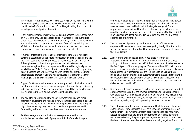

interventions, Waterwise was pleased to see WRSE clearly explaining where Government policy is needed to help deliver demand reductions, but questioned WRSE's position on the 110l/h/d target stating that it does not include government policy interventions.

- 9.7. Many respondents specifically welcomed and supported the proposed focus on water efficiency and leakage reduction. A number of local authorities emphasised the key role of setting water efficiency standards for new homes and non-household properties, and the role of retro-fitting existing stock. Whilst individual authorities can set local standards, a more co-ordinated approach at national or regional level was seen as beneficial.
- 9.8. A number of local authorities in Sussex highlighted the water neutrality constraint associated with abstraction impacts on designated sites, and the resultant requirements being imposed on new house building in that area. This emphasised to them the importance of robust water efficiency measures being identified and implemented through the regional plan, and locally through WRMPs. Some authorities stated they were already seeking to set standards achieving 110l/h/d or even tighter, and highlighted work that indicated a target of 85l/p/d was achievable. It was highlighted that local targets were having mixed success at Local Plan examinations.
- 9.9. Support for Government interventions was expressed, but with the request that these were implemented sooner to support the work being achieved by individual authorities. Numerous respondents stated that waiting for some interventions until 2040 and 2060 was too little and too late.
- 9.10. The need for innovation and the role of the water industry and wider partners in developing and rolling out new technologies to support leakage reduction and demand management was emphasised. Smart metering was highlighted as having a key role to play in educating customers, and in formulating tariffs and other incentives around sustainable water use.
- 9.11. Tackling leakage was a priority for many respondents, with some emphasising a perceived lack of progress within the South East region

compared to elsewhere in the UK. The significant contribution that leakage reduction could make was welcomed and supported, although concerns were expressed over the likelihood of the targets being met. Some respondents also questioned the effect that achieving reductions in use could have on the additional measures (TUBs (Temporary Use Bans)/NEUBs (Non Essential Use Bans)) deployed in a drought, and the risk that those become less effective tools.

- 9.12. The importance of promoting non-household water efficiency was emphasised in a number of responses, recognising the significant potential savings that could be delivered and the financial and environmental benefits that would result.
- 9.13. As part of the online questionnaire, WRSE asked respondents: *"Reducing the demand for water through leakage and water efficiency activity contributes to more than half of the total amount of water needed in the first 15 years of the emerging plan. The balance then shifts to include a greater reliance on supply side solutions, particularly in the more challenging future scenarios. Water companies are committed to delivering these reductions, but they are reliant on customers making sustained reductions in their water use over the long-term. Do you think our plan strikes the right balance between demand and supply solutions and the risks associated with delivery of such solutions?".*
- 9.14. Responses to this question again reflected the views expressed on individual options selected as part of the emerging regional plan, with respondents who disagreed with the question amounting to approximately 86% of those who responded to this question (excluding blanks and don't knows), with the remainder agreeing (9%) and/or providing narrative comments.
- 9.15. Those disagreeing with the question considered that the proposals did not go far enough – they supported water efficiency and other measures, but wanted them to go further and faster, particularly on leakage reduction. Respondents identified the differing performance on leakage across the region and asked why the poorer performing companies could not achieve the levels others had already met, and were proposing to get to. The lack of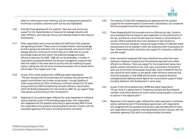

detail on metering and smart metering, and the consequential potential to incentivise or penalise customers water use was also highlighted.

- 9.16. Amongst those agreeing with the question, there was clear and strong support for the implementation of measures for leakage reduction and water efficiency, and many saw this as a pre-requisite ahead of new resource development.
- 9.17. Other respondents were concerned about the likelihood of the projected savings being achieved. These concerns included whether reducing leakage by half is going to be achieved in the 15 years planned, and concerns that if leakage reduction continues at current rates up to 2040 (and as a result, percentage losses are then lower), the predicted leakage and water efficiency reductions for 2040 - 2060 will not be achievable. A number of respondents questioned whether the demand management measures had been the subject of the same level of scrutiny and risk modelling as supply options, asking how this will all be monitored and when will corrective action will be taken if the targets aren't met.
- 9.18. As part of the online questionnaire, WRSE also asked respondents: *"The plan assumes that the Government will introduce new policies that will support more efficient use of water across society - through labelling of water-using products by 2024, introducing a minimum standard for all water using products by 2040 and tightening the water efficiency requirements within the Building Regulations for new homes by 2060. Do you support these interventions and the timing of their introduction?"*
- 9.19. Responses to this question again reflected the views expressed on individual options selected as part of the emerging regional plan, with respondents who disagreed with the question amounting to approximately 68% of those who responded to this question (excluding blanks and don't knows), with the remainder agreeing (27%) and/or providing narrative comments.
- 9.20. The majority of those both disagreeing and agreeing with the question supported the implementation of Government interventions, but considered that the proposals should be implemented sooner.
- 9.21. Those disagreeing felt the proposals were too little and too late. Concerns were expressed that the measures were dependent on the political whim of the day, and that as a result the plan leans too heavily on uncertainties for success. Others questioned why it was necessary to wait 18 years to introduce minimum standards, noting that large numbers of inefficient water using products will be installed in both new builds and older housing stock by then. Government explicit promotion and support for compulsory metering was also sought.
- 9.22. Other comments recognised that many individual local authorities were seeking to implement measures but the piecemeal approach was neither efficient nor effective. There was support for the Government taking more specific positive interventions now, with many concerned at the period of years any Government led proposals would take. Some considered that the plan should be much clearer on the specific water efficiency measures that would be proposed, or that WRSE and the water companies should be campaigning and lobbying harder against the unconstrained supply of water, including seeking to limit development in some areas.
- 9.23. As part of the online questionnaire, WRSE also asked respondents: *"Do you think it is appropriate for Temporary Use Bans and Non-Essential Use Bans, that reduce demand for water further during droughts, to be used as options in this regional plan?"*
- 9.24. Responses to this question again reflected the views expressed on individual options selected as part of the emerging regional plan, with respondents who disagreed with the question amounting to approximately 65% of those who responded to this question (excluding blanks and don't knows), with the remainder agreeing (31%) and/or providing narrative comments.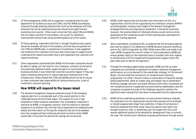

- 9.25. Of those disagreeing, GARD and its supporters considered that the plan appeared to be business as usual until 2040, and that WRSE was delaying measures through selecting schemes that could not be delivered until then. Schemes that can be implemented quickly should be brought forward, protecting more quickly. Others were concerned that using TUBs and NEUBs was not really a solution to the problem, just a quick fix. Resilience improvements should mean doing something about all of this sooner.
- 9.26. Of those agreeing, respondents felt that in drought situations every option should be available (all tools in the toolbox), and that they recognised the role TUBs and NEUBs play, in exceptional circumstances. It was suggested that evidence from customers who have seen these types of usage controls understand the reasons (provided they're well explained) and customers will respond positively.
- 9.27. Other respondents commented that WRSE and the water companies should be able to 'design out' the need for such measures, and were concerned at the potentially significant water supply disruption to communities and business activities. It was noted that customers would be happier if they saw water companies doing more to reduce leaks and investing more in the infrastructure. Others stated that TUBs and NEUBs should not be an excuse to make customers take responsibility for failing infrastructure, a lack of investment, and poor planning.

# **How WRSE will respond to the issues raised**

9.28. The demand management measures selected as part of the emerging regional plan form a considerable part of the overall solution to the challenges facing the South East region. The support for such a high emphasis on these measures expressed in the consultation responses is welcome by WRSE. It recognises, however, that this reliance on demand measures is not without risk, and that many respondents are seeking further details and information on the specific measures that are to be adopted, how their progress will be monitored and what corrective action WRSE would take in the event the planned for savings are not secured.

- 9.29. WRSE's draft regional plan will provide more information on this, at a regional level, and this will be supported by the individual company WRMPs providing greater company level insight of the demand management strategies that they are proposing to implement. It should be noted also, however, that precise details of individual schemes would continue to be developed by the companies as part of their business plan submissions to Ofwat for funding approval.
- 9.30. Some respondents, including the EA, considered that the emerging regional plan was not explicit in its statement of WRSE demand reduction ambitions, and on the 110l/h/d aspiration by 2050. Whilst every effort was made to be clear, WRSE recognise the concern raised. In future publications WRSE will ensure greater clarity on this important issue is included, both with regards to achieving the 110 l/h/d target and the government support which the plan relies upon to deliver this aspiration.
- 9.31. Through the emerging regional plan proposals, WRSE and the six water companies are committed to significant increases in demand management performance, as a core element of the overall plan strategy. For Portsmouth Water, this will entail the introduction of universal smart metering programmes. For others this will involve a continuation of measures already being implemented, albeit at a faster pace and deeper rate of penetration. Metering, leakage reduction and water efficiency both within household and non-household sectors is supported and welcomed by stakeholders, and the companies recognise the scale of the challenge required to achieve the significant water savings that have been incorporated into the regional plan.
- 9.32. WRSE will be undertaking sensitivity runs and scenario testing to evaluate the implications for the regional plan should these savings not be achieved, or should progress take longer than predicted. In these circumstances it would be expected that other water resources options may need to be brought forward in time, or potentially over the longer term this could require additional options to be selected for development than is currently the case. The monitoring of individual company performance through annual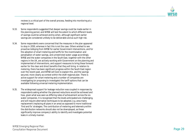

reviews is a critical part of the overall process, feeding into monitoring at a regional level.

- 9.33. Some respondents suggested that deeper savings could be made earlier in the planning period, and WRSE will test the extent to which different levels of savings could be achieved and by when, although significant earlier savings are considered unlikely to be deliverable and as such high risk.
- 9.34. Some respondents were concerned that the measures in the plan appeared to stop in 2050, whereas in fact this is not the case. Others wished to see proactive lobbying from WRSE for earlier Government interventions, and for the adoption of smart metering and tariffs for the incentivisation and penalisation of water savings, and unrestricted water usage accordingly. WRSE and the water companies in the South East, together with the other regions in the UK, are actively working with Government on the planning and implemented of interventions, and support measures to bring these forward earlier for the clear and direct benefits that they will bring. In relation to metering, there has been significant progress within the South East region over the recent past, and WRSE will look to explain this, and the savings secured, more clearly as context within the draft regional plan. There is active support for smart metering and a number of companies are investigating (or proposing to investigate) the tariff options that can be available following universal metering implementation.
- 9.35. The widespread support for leakage reduction was coupled in responses by respondents asking whether the planned reductions would be achieved and how, given what was seen as differing rates of achievement across the six water companies. It is recognised that the levels anticipated are challenging, and will require alternative techniques to be adopted, e.g. area mains replacement (replacing all pipes in an area) as opposed to more traditional 'find and fix' strategies. The contribution of metering and telemetry within the distribution networks should also not be downplayed, as these significantly improve company's ability to identify and investigate potential leaks in a timely manner.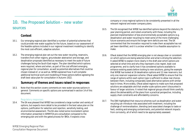

# **10. The Proposed Solution – new water sources**

# **Context**

- 10.1. Our emerging regional plan identified a number of potential schemes that could provide new water supplies for the future, based on our assessment of the feasible options included in our regional investment modelling to identify the most cost-efficient, adaptive solution.
- 10.2. The emerging regional plan set out the new water recycling, reservoirs, transfers from other regions, groundwater abstraction and storage, and desalination proposals identified as necessary to meet the scale of future challenges facing the South East region. The plan identified which options were required, where and when, as part of the cost efficient emerging regional plan for consultation, as well as potential alternatives that could be chosen instead of, or as well as. WRSE explained how it will complete additional technical work and modelling of these options before agreeing the draft best value plan for consultation in Autumn 2022.

### **Summary of themes and issues raised in responses**

10.3. Note that this section covers comments on new water sources options in general. Comments on specific options are summarised in section 14 of this document.

#### Regulatory responses

10.4. The EA was pleased that WRSE has considered a large number and variety of options, but expects more detail to be provided in the best value plan on the options, justification for selection and rejection, sensitivity testing, and environmental assessment. The EA also noted some inconsistent option information presented in WRMP24 pre-consultation compared to the emerging plan and with the gated process for SROs. It expects crosscompany or cross-regional options to be consistently presented in all the relevant regional and water company plans.

- 10.5. The EA recognised that WRSE has identified options beyond the statutory 25 year planning period, and noted uncertainty with these, including the planned implementation of less environmentally acceptable options (e.g. desalination and water recycling) to meet some of the more challenging future scenarios and ensure the longer term deficits are met. The EA commented that the innovation required to make them acceptable has not yet been identified, and it is unclear whether it is a feasible assumption to make.
- 10.6. Ofwat stated that the WRSE emerging plan is not always clear or consistent on which options are being selected when and what is driving the selection. It asked WRSE to explain more clearly in the draft plan which options are selected at what time and why they represent a low regret, least cost programme, and to clarify how it has considered options available to enhance existing assets before looking to new solutions, giving the example that WRSE has looked at 16 desalination options and 12 new reservoirs, but only one reservoir expansion scheme. Ofwat asked WRSE to ensure that the range of options within each option type is sufficient to allow real choices between them, including comparably sized alternative options with similar lead in times. More widely, Ofwat asked regions to make sure that proposed solutions are adaptable and that smaller scale options aren't discounted in favour of larger solutions. It noted that regional groups should think carefully about the deliverability of the plans from a practical perspective, including supply chain constraints and affordability concerns.
- 10.7. The DWI highlighted that resource schemes such as desalination and water recycling can introduce risks associated with treatment, including the challenge of remineralisation, blending (and associated changes to taste or feel), existing and emerging contaminants, and potential network impacts from corrosivity, all of which need to be appropriately assessed.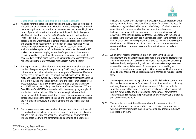

#### Questionnaires, organisational and individual responses

- 10.8. NE asked for more detail to be provided on the supply options, justification, and environmental assessments to be able to adequately respond. It noted that many options in the consultation document are medium and high risk in terms of potential impact to the environment (in particular to designated sites) both in the short term (up to 2040) and more so in the long-term (2040+). NE stated that the shift to rely more on supply options such as desalination and water recycling in more challenging scenarios is concerning, and that NE would require more information on these options as well as Aquifer Storage and recovery (ASR) and planned reservoirs to ensure environmental compliance before they can be determined deliverable. NE advised caution around relying on transfers/imports from other regions, especially as other regions have their own environmental constraints. It advocated every effort being taken to minimise reliance on water from other regions and use the water resources within region more efficiently.
- 10.9. The importance of collaboration with other regions was emphasised by a number of respondents, with many including GARD querying why there were not more options to import water from other parts of England and Wales to meet needs in the South East. The impact that achieving one in 500-year resilience has on the availability of potential regional transfers was noted as a real difficulty and one that undermines the principle of sharing resources. Water Resources West welcomed the collaboration that had taken place with WRSE to date, particularly over the Severn Thames Transfer (STT) and Grand Union Canal (GUC) options selected in the emerging regional plan. It emphasised the importance of the forthcoming regional reconciliation round, ahead of the finalisation of draft regional and company plans, and for consistency between the plans. The Canal and Rivers Trust also emphasised the role of its infrastructure in transfer options into the region, such as STT and GUC.
- 10.10. Concerns were expressed by a number of respondents about the financial cost and carbon impacts of the numerous water recycling and desalination options in the emerging regional plan. The potential for environmental impacts associated with the construction and operation of the schemes,

including associated with the disposal of waste products and resulting water quality and other impacts was identified as a specific concern. The need for water recycling and desalination plants to be 'always on', albeit at reduced capacities, with consequential carbon and other impacts was also highlighted. A lack of detailed information on carbon, and measures to achieve net zero, including carbon offsetting, associated with the options selected in the plan was seen as a weakness, especially in the context of the climate emergency. Some respondents considered that water recycling and desalination should be options of 'last resort' in the plan, whereas others considered them to represent secure solutions that would be resilient to drought.

- 10.11. A number of respondents made a direct link between the demand management and leakage reduction proposals in the emerging regional plan and the development of new resource options. The importance of tackling leakage robustly, and promoting reduced customer water usage were seen as essential pre-requisites ahead of, or alongside the consenting and implementation of new resource options. Others suggested that new options should not be capable of being progressed until companies reduced leakage first.
- 10.12. Some respondents from the agricultural sector highlighted the contribution that relatively small-scale on farm reservoirs and other solutions could bring, and sought greater support for their development. Other respondents sought assurances that water recycling and desalination options would not result in water quality or other implications for nearby or downstream abstractors, and supported the potential for co-located renewable energy as part of their development.
- 10.13. The potential economic benefits associated with the construction of significant new water resources options was recognised by respondents, with support for maximising local employment and educational initiatives associated with them.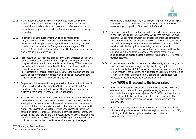

- 10.14. Many respondents requested that more detailed information on the available options was published alongside the plan. Some advocated a process whereby stakeholders could review and challenge options much earlier, before they become available options for regional and company plan preparation.
- 10.15. As part of the online questionnaire, WRSE asked respondents: *"Do you agree with the mix of options that provide new water supplies for the region within our plan - reservoirs, desalination, water recycling, new transfers, improved abstraction from groundwater storage and ASR schemes? Do you think that some options should feature more or less in our plan to secure future water supplies?"*
- 10.16. Responses to this question again reflected the views expressed on individual options selected as part of the emerging regional plan. Respondents who disagreed with the question amounted to approximately 80% of those who responded to this question (excluding blanks and don't knows), with the remainder agreeing (18%) and/or providing narrative comments. Approximately 62% of respondents disagreed with the question and opposed SESRO, and approximately 8% agreed with the question, but wanted canal transfers to be used earlier in the planning period.
- 10.17. Respondents disagreeing with the question cited their opposition to specific options selected in the plan, including SESRO and Havant Thicket Water Recycling, or their support for the canal STT option. These comments are explored in more detail in Section 14 of this document.
- 10.18. More widely, some respondents considered that the plan is too focused on large scale options, and that there was a need to focus on small / medium sized options that are scalable as these would be more readily adaptable as the scale of future challenges becomes clear. The inclusion of a considerable number of desalination and water recycling options was highlighted as a concern by some respondents, particularly in terms of potential energy and carbon impacts they could have. Other respondents, however, felt that those options, together with savings from water efficiency and leakage reduction, could be sufficient for low to median scenarios, meaning other larger

WRSE Emerging Regional Plan: Consultation Response Document **Page 32**

schemes were not required. The relative lack of imports from other regions was highlighted as a concern by some respondents who felt this could provide a larger proportion of the needs of the South East.

- 10.19. Those agreeing with the question supported the inclusion of a mix of options in principle, including as the diversification of sources improves the level of resilience. Using a range of water resources option types was considered appropriate in order to effectively manage water and ensure a sustainable approach. Many respondents wanted to see a clearer assessment of the benefits the individual options would bring versus the cost and environmental impact. There was support for more storage and less reliance on pumping, although some respondents considered that new water supplies should be located close to places that require the water, to reduce transfer distances.
- 10.20. Other comments included concerns at the deliverability of the plan, given its focus on a small number of large and high risk strategic options. Respondents asked what WRSE would do if they are delayed or refused. The carbon impacts of the plan was also highlighted as a concern, given that a lot of high carbon intensity infrastructure was planned. Further detail was requested on how this would be offset and mitigated.

### **How WRSE will respond to the issues raised**

- 10.21. Whilst many respondents would have preferred to be able to review and comment on this information alongside the emerging regional plan documents that were published in January 2022, WRSE considers that the documents published at that time gave sufficient information for the emerging plan strategy and proposals within it to be understood and responded to.
- 10.22. However, as it always planned to do, WRSE will ensure that more detailed information is published as part of the draft regional plan in Autumn 2022, including on the individual options selected, costs, carbon and environmental assessments.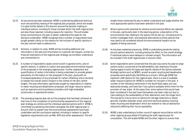

- 10.23. As has previously been explained, WRSE is undertaking additional technical work and sensitivity testing of the regional plan proposals, which will enable it to give further details in the Autumn around the decision making on individual options, including for those included within the draft regional plan and also those rejected, including reasons for rejection. This will enable those commenting on the plan to better understand the basis for the decisions undertaken. WRSE recognises that a number of respondents have sought greater clarity on the reasons for the inclusion of specific options in the plan and will seek to address this.
- 10.24. Similarly, in relation to costs, WRSE will be including additional cost information in the plan and information on customer bill impacts, so that the financial implications of the regional plan strategy can be better understood and commented on.
- 10.25. A number of respondents raised concerns both in general terms, and on specific options, in relation to carbon and associated environmental impacts of the proposals in the emerging regional plan. Further assessment and quantification of carbon information is being undertaken to provide greater granularity of information on the proposals in the plan, along with an increased explanation of any proposals for carbon offsetting, and a narrative to explain the overall carbon impacts in the context of net zero carbon targets. This was information specifically sought by respondents in relation to water recycling and desalination proposals, and larger resource options such as reservoirs and long distance transfers with high embedded construction or operational carbon.
- 10.26. The emerging regional plan set out the progress that had been achieved at that time on the completion of environmental assessments of the regional plan strategy as a whole and the individual selected options with it. WRSE is committed to publishing information alongside the draft regional plan in Autumn 2022 to explain how the environmental assessments have been undertaken and the conclusions reached, including in relation to specific legislative requirements such as HRA, WFD and other assessments. This will

enable those reviewing the plan to better understand and judge whether the most appropriate options have been selected in the plan.

- 10.27. Where options with potential for adverse environmental effects are selected in the plan, particularly later in the planning period, a description of the environmental risks relating to the options will be set out, including work to further investigate them, and potential alternatives to these options that may need to be considered should the environmental impacts not be capable of being overcome.
- 10.28. As has been explained previously, WRSE is undertaking sensitivity testing around options selection, including testing the effect on the overall strategy if individual options were delayed or refused consent. This information will be included in the draft regional plan in Autumn 2022.
- 10.29. Some respondents were concerned that the plan was overly focused on large options and/or concerned at the deliverability risks relating to the plan having regard to both the types and specific details of the options selected. Strategic options such as SESRO, as well as water recycling and desalination proposals were specifically identified as a concern. Although WRSE has explored 1,400 options for the regional plan, there is a lack of available water resource options for WRSE to consider for inclusion in the plan. A number of the individual catchments in the South East region are over abstracted already, and have few if any options available within them for the provision of new water. At the same time, some options that would have been considered in the past have themselves now been ruled out due to risks relating to the sustainability of their abstraction over the longer term. This has led to a focus more on options for storage (reservoirs or below ground), transfers between areas, and more technical options involving water recycling and desalination which are resilient to risks of abstraction reductions affecting their future operability.
- 10.30. WRSE is also undertaking a further round of regional reconciliation with the other regional groups ahead of finalising the draft regional plan for consultation. This will enable WRSE and the other regions to ensure that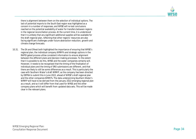

there is alignment between them on the selection of individual options. The lack of potential imports to the South East region was highlighted as a concern in a number of responses, and WRSE will re-test conclusions reached on the potential availability of water for transfers between regions in the regional reconciliation process. At the current time, it is understood that it is unlikely that any significant additional supplies will be available for the draft regional plan, reflecting that other regions' resources are also facing significant challenges under future abstraction reduction, growth and climate change forecasts.

10.31. The EA and Ofwat both highlighted the importance of ensuring that WRSE's regional plan, the individual company WRMPs and strategic options in the RAPID gated process utilise consistent information to ensure alignment between the different plans and decision making processes. To the extent that it is possible to do this, WRSE and the water companies certainly will. However, it needs to be recognised that the timing of the finalisation of individual plans and the timing of SRO submissions are different, and that there are likely to still be some differences as a result. This is particularly the case with Southern Water's draft WRMP, as the company has been directed by DEFRA to submit this in June 2022, ahead of WRSE's draft regional plan and the other companies WRMPs. The data underpinning Southern Water's WRMP will have to be derived from the January 2022 emerging regional plan as a result, and so it will differ from that used for WRSE and the other company plans which will benefit from updated data sets. This will be made clear in the relevant plans.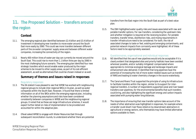

# **11. The Proposed Solution – transfers around the region**

# **Context**

- 11.1. The emerging regional plan identified between £2.4 billion and £3.4 billion of investment in developing new transfers to move water around the South East more easily by 2060. This could see more transfers between different parts of the six water companies' supply areas and between different water companies, increasing the connectivity of the region.
- 11.2. Nearly 400 million litres of water per day can currently be moved around the South East. This could rise to more than 1.1 billion litres per day by 2060 in the most challenging future scenario. The emerging plan identified four new strategic transfers which would enable water produced by the major schemes to be moved to other supply areas, as part of its cost-efficient assessment, as well as alternatives that could be chosen instead or as well.

### **Summary of themes and issues raised in responses**

#### Regulatory responses

- 11.3. The EA stated it was pleased to see that WRSE has worked with neighbouring regional groups to include inter-regional SROs in its plan, as well as water companies within the South East. However, it found that there is limited information on all of the SROs within the emerging regional plan, including whether the planning assumptions and risks have been considered consistently between companies in WRSE and the neighbouring regional groups. It noted that as these are large infrastructure schemes, it would expect further detail on risks of implementation to be provided and accounted for within the adaptive plan.
- 11.4. Ofwat asked WRSE to engage with Water Resources East through subsequent reconciliation rounds, to understand whether there are potential

transfers from the East region into the South East as part of a best value plan.

11.5. The DWI highlighted water quality risks and issues associated with raw and potable transfer options. For raw transfers, considering the upstream risks and whether mitigation is required at the receiving location. For potable transfers, transfer times, disinfection risks, and mixing requirements in transfer infrastructure need to be considered. For both, the risk of associated changes to taste or feel, existing and emerging contaminants, and potential network impacts from corrosivity were highlighted. All of these factors need to be appropriately assessed.

#### Questionnaires, organisational and individual responses

- 11.6. NE identified that the use of new pipelines would only be acceptable if it is clearly evident that designated sites and priority habitats have been avoided wherever possible, and/or suitably mitigated/ compensated where appropriate to minimise ecological damage and landscape impacts and enhancement also delivered. It identified that long pipelines have the potential of increasing the risk of more water-related issues such as transfer of INNS and leading to water chemistry changes in the source waterbody.
- 11.7. The Canal and Rivers Trust supported the principle of using its infrastructure to facilitate transfers within the region, similar to its support for interregional transfers. A number of respondents supported canal and river based transfers over pipelines, for the environmental benefits that such transfers could bring, and also highlighting the significant energy and carbon impacts associated with pumping water long distances.
- 11.8. The importance of ensuring that new transfer options take account of the needs of other abstractors was highlighted in responses, for example where a transfer could divert river flows relied on by downstream abstractors in agricultural or energy sectors, who themselves may have limited alternative options available to them.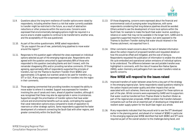

- 11.9. Questions about the long-term resilience of transfer options were raised by respondents, including whether there is a risk that water currently available to transfer might be restricted in the future, as a result of abstraction reductions or other pressures within the source area. Concerns were expressed that environmentally damaging options might be required in a source area to enable supplies to continue to be transferred to another area, and the acceptability of this was questioned.
- 11.10. As part of the online questionnaire, WRSE asked respondents: *"Do you support the use of new, potentially long pipelines to move water around the region?"*
- 11.11. Responses to this question again reflected the views expressed on individual options selected as part of the emerging regional plan. Respondents who agreed with the question amounted to approximately 88% of those who responded to this question (excluding blanks and don't knows), with the remainder disagreeing (8%) and/or providing narrative comments. Of those agreeing, approximately 46% of respondents supported the principle of transfers, but not the Thames to Southern Transfer (from SESRO) and approximately 11% agreed, but wanted canals to be used for transfers, e.g. STT or GUC. Many supporters expressed support for transfers into the region in their comments.
- 11.12. Those agreeing commented that providing transfers increased the ability to move water to where it is needed. Support was expressed for transfers involving the use of canals and rivers, ahead of pipeline transfers, although it was recognised that these may also be appropriate in some circumstances. Supporters sought the prioritisation of transfer options that have wider cultural and environmental benefits such as canals, contrasting the support that canal restoration options enjoy compared to levels of opposition to reservoirs or other strategic options. Some respondents supported the faster development of a network connecting the South East with other regions, and greater connectivity within the South East.
- 11.13. Of those disagreeing, concerns were expressed about the financial and environmental costs of pumping water long distances, with some respondents considering that long distance pipelines should be avoided. Others wished to see the development of more local options within the South East, for example to make the South East water neutral, avoiding a reliance on water that may not be available in the longer term. GARD and its supporters supported imports to the region, but were opposed to the Thames to Southern Transfer stating that water should retained in the Thames catchment, not exported from it.
- 11.14. Other comments raised concerns about the lack of detailed information about the carbon impacts of proposed transfers and requested details on how this would be offset and mitigated, and the cost of doing so. Respondents requested the publication of information to enable the whole life cycle embodied and operational carbon emissions of individual options to be understood. The difference between raw and potable transfers was highlighted in comments, with the risks of Invasive Non Native Species (INNS), water chemistry and pathogens from raw water transfers noted as specific concerns.

# **How WRSE will respond to the issues raised**

- 11.15. Improved transfers of water between areas forms a key part of the strategy in the emerging regional plan. Some respondents raised questions relating to the carbon impacts and water quality and other impacts that can be associated with such schemes, there was strong support for these options as part of the plan. Whilst concerns were expressed by GARD and its supporters that water could be transferred from Thames Water to Southern Water as part of the regional plan proposals, WRSE considers that transfers between companies such as that are an essential part of developing an integrated and resilient water supply system for the South East region as a whole.
- 11.16. Many respondents indicated that they would wish to see the STT developed earlier in the planning period, and ahead of or instead of SESRO in particular. In the emerging regional plan WRSE identified that both SESRO and STT were required as part of the overall solution to the challenges being faced, and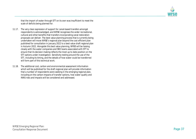

that the import of water through STT on its own was insufficient to meet the scale of deficits being planned for.

- 11.17. The very clear expression of support for canal-based transfers amongst respondents is acknowledged, and WRSE recognises the wider recreational, cultural and other benefits that transfers incorporating canal restoration proposals can deliver. The best value planning process that is currently being undertaken will move WRSE's regional plan beyond the cost efficient plan published for consultation in January 2022 to a best value draft regional plan in Autumn 2022. Alongside this best value planning, WRSE will be liaising closely with the water companies and SRO teams associated with STT to ensure that its decision making reflects the most up to date position on the STT options under investigation. Sensitivity testing around the use of the STT, including its timing, and the details of how water could be transferred will form part of this technical work.
- 11.18. The additional cost, carbon and environmental assessment information which will be published for the draft regional plan will provide information that a number of respondents were seeking in the emerging regional plan, including on the carbon impacts of transfer options, how water quality and INNS risks and impacts will be considered and addressed.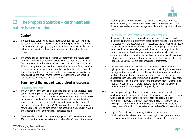

# **12. The Proposed Solution – catchment and nature based solutions**

# **Context**

- 12.1. The South East water companies abstract water from 28 river catchments across the region. Improving these catchments is a priority for the regional plan to ensure the ongoing quality and quantity of our water supplies, and to deliver wider benefits to the environment and help it adapt to climate change.
- 12.2. The emerging plan identified more than 200 catchment and nature-based solutions which could be delivered across 25 of the South East's catchments. Our early estimate of the cost to deliver these solutions is in the region of £350 million by 2040. The majority of these schemes do not form part of our cost-efficient solution and may only produce a relatively small amount of water. However, they were included in the emerging regional plan because they could help the environment become more resilient, while enabling abstraction to continue at a sustainable level.

# **Summary of themes and issues raised in responses**

#### Regulatory responses

- 12.3. The EA welcomed the development and inclusion of catchment solutions as part of the emerging regional plan, recognising the additional resilience benefits these can provide. It stated it looked forward to working with WRSE to understand the detail behind these catchment options, including the water resources benefit they provide, and understanding the rationale for the chosen catchments. It asked WRSE to provide further information on how these options will be considered in the best value plan decision making, and whether they will automatically be selected again.
- 12.4. Ofwat noted that whilst it was encouraging that WRSE has considered over 200 catchment options, the water resource benefits of these options are not

clearly explained. WRSE should clarify the benefits expected from these schemes and why they are best included in a water resources plan rather than drainage and wastewater management plans or through the business plans.

#### Questionnaires, organisational and individual responses

- 12.5. NE stated that it supported the catchment measures put forward, and requested assurance that catchment-based options will be explored further in preparation of the best value plan. It recognised there are opportunities to benefit the environment while investigations are ongoing, and that nature based solutions can have a large impact within catchments, particularly around restoration of wetlands and re-connecting these habitats in and outside designated sites, and between urban and rural areas. NE encouraged further discussions to support these innovative solutions, but also to ensure options deemed unviable are not unnecessarily progressed.
- 12.6. The wider benefits associated with catchment based solutions were highlighted and supported by many respondents, including flood and water management, water quality, and avoidance of further infrastructure based solutions that would result. Respondents also recognised the community support for such options and welcomed the further work proposed as part of the emerging regional plan to identify and implement such solutions. Their potential to support wider nature recovery and multi-functional green infrastructure solutions was particularly highlighted.
- 12.7. Some respondents questioned the proven water resources benefits of catchment based schemes and asked whether solutions that delivered such wide ranging benefits ought to be funded solely or largely through customers' bills. Others, although supporting the plan, asked why more investigations of these options was needed and why companies did not already have information on the water resources benefits of these options.
- 12.8. As part of the online questionnaire, WRSE asked respondents: *"We have identified where water companies might investigate a number of new, more innovative nature-based solutions to improve the region's water*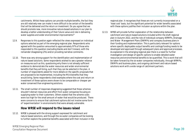

*catchments. Whilst these options can provide multiple benefits, the fact they are still relatively new can make it more difficult to be certain of the benefits that will be delivered and the return on investment. Do you agree that we should promote new, more innovative nature-based solutions in our plan to develop a better understanding of their future value and role in delivering water supplies and wider environmental improvements?"*

- 12.9. Responses to this question again reflected the views expressed on individual options selected as part of the emerging regional plan. Respondents who agreed with the question amounted to approximately 97% of those who responded to this question (excluding blanks and don't knows), with the remainder disagreeing (2%) and/or providing narrative comments.
- 12.10. There was very strong support for the identification and implementation of nature based solutions. Some respondents wished to see a greater reliance on measures such as this, questioning why there is not already sufficient evidence to demonstrate the water resources and wider environmental benefits that they will bring, such that they can be selected in the plan. A number of respondents asked for more details on the specific proposals that are proposed to be implemented, including the Ml/d benefits that they would bring. Some respondents cited examples where the cost and return on investment of these options were shown to be comparable or cheaper per water conserved than engineering solutions.
- 12.11. The small number of responses disagreeing suggested that these schemes shouldn't distract resources and effort from water companies focusing on supplying water to their customers. Others stated that the scheme costs were too high for the small amount of water that would be produced. There were concerns to ensure that catchment options did not involve some form of 'experimentation' in environments that were already vulnerable.

### **How WRSE will respond to the issues raised**

12.12. WRSE is pleased with the strong support expressed for catchment and nature based solutions, and through the six water companies will be looking to further explore the potential benefits associated with their inclusion in the

WRSE Emerging Regional Plan: Consultation Response Document **Page 39**

regional plan. It recognises that these are not currently incorporated on a 'least cost' basis, but the significant potential for wider benefits associated with these options justifies their inclusion as options within the plan.

12.13. WRSE will provide further explanation of the relationship between catchment and nature based solutions included within the draft regional plan in Autumn 2022, and the role of individual company WRMPs, Drainage and Water Management Plans (DWMPs) and company business plans in their funding and implementation. This is particularly relevant for options where specific deployable output benefits and costings/funding needs to be developed and approved through subsequent plans and approval processes. As explained in the emerging regional plan there is a need for further investigation and design of specific options to enable detailed water resources and environmental benefits to be quantified. This is work that will be taken forward by the six water companies individually, through WRMPs, DWMPs and business plans, and ongoing catchment and nature based solutions work with a wide range of catchment partners.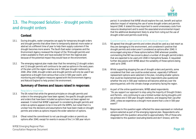

# **13. The Proposed Solution – drought permits and drought orders**

# **Context**

- 13.1. During droughts, water companies can apply for temporary drought orders and drought permits that allow them to temporarily abstract more water or abstract at a different time of year to help them supply customers if the drought becomes more severe. The South East water companies and the Environment Agency reviewed the impact of the 78 drought permits and orders available to them and have excluded 53 from the regional plan because of the potential impact they would have on the environment.
- 13.2. The emerging regional plan made clear that the remaining 12 drought orders and 13 drought permits will continue to be used as options in the early years of the plan until the region reaches one in 500-year drought resilience by 2040. After 2040, drought orders and drought permits will only be used if we experience a drought more serious than a one in 500-year event, with monitoring and mitigation measures agreed with the Environment Agency and Natural England to help protect the environment.

# **Summary of themes and issues raised in responses**

#### Regulatory responses

- 13.3. The EA noted that while the general principles on drought permits and orders in the emerging plan have been agreed, the specific drought permits and orders that have been included as options have not been agreed nor assessed. It noted that WRSE's approach to considering drought permits and orders as options appears to be in line with the WRPG, but noted that it is unclear how the decisions and assumptions that have been made on drought permits and orders as options impacts the wider selection of options.
- 13.4. Ofwat noted the commitment to not use drought orders or permits as options after 2040, except for events in excess of the 1 in 500 year return

period. It considered that WRSE should explore the cost, benefit and option selection impact of retaining the use of some drought orders and permits beyond 2040. It stated this was important to avoid unnecessary costs from resource development and to avoid the associated environmental impact that the additional development likely to arise from ruling out the use of drought orders and permits could bring.

#### Questionnaires, organisational and individual responses

- 13.5. NE agreed that drought permits and orders should be used as a last resort as they are damaging to the environment, and considered it positive that drought permits and orders aren't considered as options after 2040. It encouraged using less of these options before 2040 wherever possible, commenting that NE has concerns about a number of drought permit/orders that are expected to be used until 2040 in Hampshire/Sussex. It requested further discussions with WRSE about the suitability of these options being used up to 2040.
- 13.6. Whilst supporting stopping the use of drought orders and permits, some considered that their use could be ended sooner, especially if different replacement options were selected in the plan, including smaller options that could be implemented quicker. Some respondents also questioned whether the one in 500-year resilience will become arbitrary over the planning period, with the climate change uncertainty facing the region.
- 13.7. As part of the online questionnaire, WRSE asked respondents: *"Do you support our approach to stop using the majority of Drought Orders and Permits - only continuing to use a limited number during droughts until we achieve one in 500-year drought resilience, and stopping their use after 2040, unless we experience a drought more severe than a one in 500-year event?"*
- 13.8. Responses to this question again reflected the views expressed on individual options selected as part of the emerging regional plan. Respondents who disagreed with the question amounted to approximately 74% of those who responded to this question (excluding blanks and don't knows), with the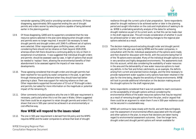

remainder agreeing (19%) and/or providing narrative comments. Of those disagreeing, approximately 56% supported ending the use of drought permits and orders sooner by selecting options capable of being delivered earlier in the planning period.

- 13.9. Of those disagreeing, GARD and its supporters considered that the new resource options selected in the plan were delaying when drought orders and permits were no longer required. It wouldn't be necessary to need drought permits and drought orders until 2040 if a different set of options were selected. Other respondents gave conflicting views, with some considering there should not be reliance on them beyond 2028-2030, whereas others felt there should be a continuing ability to rely on them in exceptional circumstances. It was suggested that individual drought orders and permits should be assessed case-by-case, in light of options that would be needed to 'replace' them, allowing the environmental benefits of their abandonment to be assessed against the impacts of new resource developments.
- 13.10. Those agreeing considered that drought orders and drought permits had been reached for too quickly by water companies in the past, to get them through intense periods of demand when they should have had better planning in place. There was support for reducing reliance on their use. Other respondents supported the exclusion of 53 out of 78 drought orders and permits, but asked for more information on the magnitude or potential impact of the remaining 25.
- 13.11. Other comments included questions why the one in 500-year requirement is necessary, particularly when this is not the case in Wales. Others suggested that there could be an argument to retain drought permits and orders if it is shown that one in 500-year cannot be achieved in an environmentally or cost effective way.

### **How WRSE will respond to the issues raised**

13.12. The one in 500-year requirement is derived from EA policy and the WRPG requires WRSE and the water companies to achieve that level of drought

resilience through the current cycle of plan preparation. Some respondents asked for drought resilience to be achieved earlier or later in the planning period and sought information on the costs and implications of seeking to do so. WRSE is undertaking sensitivity analysis of the dates for achieving drought resilience as part of its current work, so that this can be made clear in the draft regional plan. This will include consideration of whether it could be achieved earlier or later and the resulting changes to the regional plan options selected as a result.

- 13.13. The decision making around excluding drought order and drought permit options from the plan was made by WRSE and the water companies, in consultation with the EA. Individual assessments of the options were made, and then shared for discussion with the EA, with the outcome being that 53 of the 78 options were excluded. Many of the individual drought options are in very sensitive and highly designated environments. The assessments took this into account, whilst also considering the availability of water resources in the area and the deliverability of new water resources options to meet any deficits. In the Test and Itchen catchments, as an example, the deficits arising from current and planned licence changes, and the time necessary to provide replacement water supplies is why options have been retained in the plan for the time being, despite the sensitivity of those environments. WRSE will look to provide additional information on the decision making around the drought options for the draft regional plan.
- 13.14. Some respondents considered that it was not possible to reach conclusions on the acceptability of drought options without considering the environmental effects of the water resources options that may be required as a result of removing drought options from the plan, and/or argued that there could be an argument to retain them if one in 500-year resilience could not be secured in a sustainable way.
- 13.15. WRSE will continue to liaise closely with the EA, and with Natural England, over the assessment of environmental effects associated with the drought and other options in the plan, to ensure that decisions are taken having regard to environmental assessment outcomes. Over the longer term, drought orders and drought permit options will remain available for

WRSE Emerging Regional Plan: Consultation Response Document **Page 4<sup>1</sup>**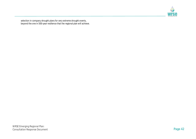

selection in company drought plans for very extreme drought events, beyond the one in 500-year resilience that the regional plan will achieve.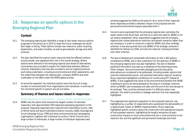

# **14. Responses on specific options in the Emerging Regional Plan**

# **Context**

- 14.1. The emerging regional plan identified a range of new water resource options proposed in the period up to 2075 to meet the future challenges the South East region is facing. These options include new reservoirs, water recycling, desalination, and water transfers, as well as groundwater storage and other schemes.
- 14.2. The plan identified the scale of water resources that the different options would provide, and explained their role in the overall strategy. Where options were selected in the emerging regional plan ahead of alternatives, commentary was provided to explain the relationship between different schemes. Explanatory text was also included to set out ongoing technical work being undertaken, including environmental and other assessments, and the relationship between the regional plan, company WRMPs and work undertaken on the SROs under the RAPID gated process.
- 14.3. As would be expected, the individual options were the focus of a large number of comments both from organisations and individuals. A summary of the comments specific to options are set out below.

# **Summary of themes and issues raised in responses**

#### SESRO (reservoir in Oxfordshire) – Thames Water and Affinity Water

14.4. SESRO was the option that received the largest number of individual responses, with approximately 500 responses expressing opposition to the proposal. Opposing responses were received from Oxfordshire County, Vale of White Horse and South Oxfordshire District Councils, GARD, Wantage and Grove Campaign Group, CPRE and other environmental and campaigning organisations, together with individual Councillors, Parish Councils and a large number of individuals. A large number of individual responses used

wording suggested by GARD as the basis for all or some of their response. Some responses provided a detailed critique of the proposal and the perceived environmental impacts associated with it.

- 14.5. Concerns were expressed that the emerging regional plan overstates the water needs of the South East, and that as a result the need for SESRO is not yet clearly established. Other respondents suggested that the emerging regional plan utilises abstraction reduction and growth scenarios higher than are necessary, in order to construct a need for SESRO and other strategic schemes. It was also queried why only SESRO of the strategic schemes is identified for delivery by 2040, and why the reservoir is being prioritised over other schemes.
- 14.6. The lack of detailed and comparable information on the 1,400 options considered by WRSE, and a clear justification for the selection of SESRO in the emerging regional plan was also highlighted. The lack of detailed published information was seen as a weakness of the planning process. Other cheaper, less environmentally damaging and less disruptive alternatives are considered to be preferable, including smaller options that could be implemented sooner, and potential alternative reservoir locations. Many responses highlighted a preference for constructing STT instead of SESRO. It was suggested that some of the environmental benefits that WRSE is seeking to secure are being delayed by focusing on a strategic reservoir which by WRSE's own timescales will take until the end of the next decade to be achieved. They could be achieved earlier if a different option was selected. The need to prioritise on leakage reduction first was repeatedly highlighted.
- 14.7. The organised and significant opposition to the proposed reservoir was highlighted by a number of respondents who questioned the deliverability of a regional plan reliant on SESROs implementation. Many responses highlighted specific concerns about the construction and operational impacts of the proposed reservoir, highlighting the lengthy temporary (8 year) construction impacts on local communities that are in close proximity to the reservoir site, and the significant and permanent landscape and other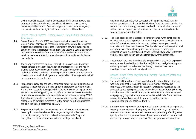

environmental impacts of the bunded reservoir itself. Concerns were also expressed at the carbon impacts associated with such a large scheme, particularly in the context of net zero targets and the climate emergency, and questioned how the significant carbon effects could be offset.

#### Severn Thames Transfer – Thames Water, United Utilities and Severn Trent Water

- 14.8. Severn Thames Transfer (STT) was the option that received the second largest number of individual responses, with approximately 300 responses expressing support for the proposal, the majority of whom supported an option involving the restoration and use of the Cotswold Canals. Supporting responses were received from a number of local authorities in the area, canal, recreational and environmental organisations, and many individual respondents.
- 14.9. The principle of transferring water through STT was welcomed by many respondents as a means of securing additional resources into the region. Sharing water between regions was broadly supported for the greater resilience it delivers, although some respondents questioned whether such transfers are secure in the longer-term, especially as other regions have their own environmental constraints.
- 14.10. Respondents supported the use of canals for water transfer in principle, and specifically supported the STT canal option in preference to other options. Many of the respondents suggested that the option could be implemented earlier in the planning period, and in preference to what they considered to be less sustainable and environmentally impactful options, including SESRO. The potential for earlier and faster implementation was highlighted in many responses with concerns expressed why the option wasn't being selected earlier in the plan, in preference to SESRO.
- 14.11. Respondents highlighted the extensive community support that a canal based option would receive, and the long-standing and widespread community campaign for the canal restoration proposals. They also highlighted the wider recreational, cultural, heritage, social and

environmental benefits when compared with a pipeline based transfer option, particularly the linear biodiversity benefits of the canal corridor. The reduced carbon and energy use associated with the canal, when compared with a pipeline transfer, and recreational and tourism business benefits, were seen as significant benefits.

- 14.12. The canal based option was also compared favourably with other options selected in the emerging regional plan, with respondents concluding that no other infrastructure based solutions could deliver the range of benefits associated with the use of the canal. The financial benefits of using the canal as a lower cost solution than options including water recycling and desalination were also highlighted, as was the flexibility to vary the transfer volumes to reduce carbon use when large flows were not required.
- 14.13. Supporters of the canal based transfer suggested that previously expressed concerns over Invasive Non Native Species (INNS) and navigational impacts on boat passage from water transfer through the canal have been investigated and can be adequately addressed.

#### Havant Thicket Water Recycling and Transfer – Southern Water and Portsmouth Water

- 14.14. The proposal for water recycling associated with Havant Thicket Reservoir was the option that received the third largest number of individual responses, with approximately 60 responses expressing opposition to the proposal. Opposing responses were received from Havant Borough Council, individual Councillors, Parish Councils and a number of environmental and campaigning groups in the local area, as well as individuals. Some responses provided a detailed critique of the proposal and the perceived environmental impacts associated with it.
- 14.15. Concerns were expressed that the proposals were a significant change to the recently consented reservoir proposal, and that water recycling into the reservoir would alter the nature of the reservoir, potentially affecting water quality within it and also downstream. Respondents described the proposal as recycling 'sewage' into the reservoir. This change was considered to be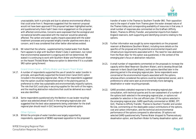

unacceptable, both in principle and due to adverse environmental effects that could arise from it. Responses suggested that the reservoir proposal would not have been approved if this proposal had been highlighted earlier, and questioned why there hadn't been more engagement on the proposal with affected communities. Concerns were expressed that the ecological and recreational benefits associated with the reservoir would be adversely affected. The carbon and water quality impacts associated with the water treatment processes and proposed lengthy transfer pipelines were also a concern, and it was considered that other better alternatives existed.

14.16. NE noted that the scheme - supplemented by treated water from Budds Farm appears to align with Southern Water's Gate 2 submission, but noted that environmental assessment is ongoing and still not determined. NE stated it is continuing to work with Southern Water and Portsmouth Water on the Havant Thicket/Water Resource option to determine if it is a suitable SRO option going forward.

#### Grand Union Canal – Affinity Water and Severn Trent Water

- 14.17. A number of respondents supported the use of canals for water transfer in principle, and specifically supported the Grand Union Canal (GUC) option included in the emerging regional plan. Many of the respondents suggested that the option could be implemented earlier in the planning period, in preference to other less sustainable and environmentally impactful options. The role that GUC could play in securing supplies for the north of the region, and the resulting abstraction reductions that could be delivered as a result was also identified.
- 14.18. Some respondents questioned why the Beckton re-use (water recycling) option was selected ahead of GUC in the emerging regional plan and suggested that the best value assessments being undertaken for the draft regional plan should result in GUC becoming the preferred option.

#### Other Options

14.19. Whilst the principle of water transfers was largely supported by respondents, opponents of SESRO expressed opposition to the proposed

transfer of water in the Thames to Southern Transfer SRO. Their opposition was to the export of water from Thames given the water stressed nature of the Thames Valley and corresponding availability of resources in that area. A small number of responses also commented on the Grafham (Affinity Water), Thames to Affinity Transfer, and potential imports from Eastern England reservoirs, both supporting and identifying concerns relating to the options.

- 14.20. Further information was sought by some respondents on the proposed reservoir at Blackstone (Southern Water), including more details on the specifics of the proposal and the potential environmental impacts and infrastructure requirements associated with it. The need for new abstraction from the River Adur for this option was questioned, in the context of the emerging plan's focus on abstraction reduction.
- 14.21. A small number of respondents commented on the proposals to increase the capacity within Bewl Reservoir (Southern Water), and to develop Broad Oak reservoir in Kent (South East Water), both options identified later in the planning period in the emerging regional plan. Some respondents were concerned at the environmental impacts associated with the options, whereas others considered the options could be implemented sooner, and in preference to what were seen as environmentally more damaging desalination or water recycling proposals.
- 14.22. GARD provided a detailed response to the emerging regional plan consultation, with technical queries and its own assessment of a number of the options both selected in the emerging regional plan, or options not available for selection in the cost efficient plan. Of the options selected in the emerging regional plan, GARD specifically commented on SESRO, STT, GUC, Thames to Affinity Transfer, Thames to Southern Transfer and London Re-Use, commenting on the deployable output contributions of the options, cost and carbon information, and the technical and environmental performance of the options compared to alternatives. Of options not selected GARD questioned why Thames Water dropped its Thames estuary desalination option, and Southern Water its Fawley desalination option, and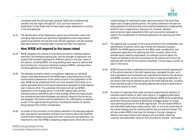

considered both should have been retained. GARD also considered that transfers into the region through STT, GUC and from reservoirs or desalination in East Anglia had not been given proper assessment or priority in the emerging plan.

14.23. The identification of four desalination plants around the Kent coast in the emerging regional plan was specifically highlighted by some respondents, questioning whether this was the most efficient approach, and also whether alternative options including water recycling had been fully explored.

### **How WRSE will respond to the issues raised**

- 14.24. WRSE recognises the volume of comments received on individual options selected in the emerging regional plan, and the strength of opposition and support that has been expressed for different options in the plan. Some of the options, including SESRO, are long-standing water resource options that have formed part of previous individual company WRMPs, whereas others are being selected in plans for the first time.
- 14.25. The detailed comments raised in consultation responses on individual options have been shared with the WRSE teams undertaking technical and environmental assessments of the options as part of the preparation of the plan. WRSE will be publishing further and more detailed information on its option appraisals and environmental assessments alongside its draft regional plan in Autumn 2022. The published information will set out WRSE's assessment of the strategy set out in the draft regional plan, and the individual options selected as part of that strategy. Where the regional plan has considered alternative strategies and options, these will also be set out and assessed. Information will be published on the 1,400 options considered as part of the regional planning process, including the reasons for options being rejected from further consideration.
- 14.26. A number of the comments on the options selected in the emerging regional plan raise specific and detailed comments and concerns about the potential environmental impacts associated with their construction and operation. It is important to note that WRSE is preparing a regional plan, which sets out the

overall strategy for meeting the water resources needs of the South East region over a lengthy planning period. The options selected in the plan are being subjected to technical and environmental assessments of appropriate detail for such a regional plan. These are not, however, detailed environmental impact assessments (EIA) such as would be necessary to support the consideration of individual applications for planning and other consents.

- 14.27. The regional plan is one part of the overall process for the consideration and identification of options, which also involves the individual company WRMPs, the RAPID gated process for the SROs under consideration, and subsequent applications for planning and other consents. Some of the detailed issues raised by respondents, for example concerns about the impacts of detailed construction processes for the options will not be fully explored until the EIA for the scheme is prepared, in some cases a number of years in the future.
- 14.28. WRSE will ensure that it publishes technical and environmental assessments of the options selected in the draft regional plan, alongside the plan, such that organisations and individuals can understand the basis for the decisions that WRSE has taken. At the current time there is ongoing consideration of the options that may be selected as part of the draft regional plan, including those selected as part of the emerging regional plan as well as additional or alternative options to them.
- 14.29. A number of responses have made comments supporting the selection of individual options before or after other options, or suggesting alternative scales or capacities of options as being preferable. WRSE will be undertaking sensitivity testing and analysis of alternative strategies as part of its best value planning process for the draft regional plan. This will enable WRSE to test what effect selecting an option earlier, later, or not at all would have on the overall strategy and the resulting options that are selected instead. This will also enable WRSE to test how the strategy in the plan changes as different best value metrics and indicators are prioritised, reflecting customer and stakeholder views on their priorities for the plan. Information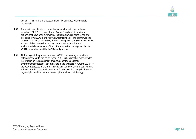

to explain this testing and assessment will be published with the draft regional plan.

- 14.30. The specific and detailed comments made on the individual options, including SESRO, STT, Havant Thicket Water Recycling, GUC and other options, that have been summarised in this section, are being raised and discussed by WRSE with the relevant water companies and teams working on SROs. This will enable WRSE, the water companies and SRO teams to take account of the issues raised as they undertake the technical and environmental assessments of the options as part of the regional plan and WRMP preparation, and the RAPID gated process.
- 14.31. At this stage of the process, however, WRSE is not seeking to provide a detailed response to the issues raised. WRSE will ensure that more detailed information on the assessment of costs, benefits and potential environmental effects of the options are made available in Autumn 2022, for the options selected in the draft regional plan, and the alternatives to them. This will include a reasoned justification for the overall strategy in the draft regional plan, and for the selection of options within that strategy.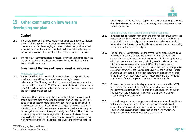

# **15. Other comments on how we are developing our plan**

# **Context**

- 15.1. The emerging regional plan was published as a step towards the publication of the full draft regional plan. It was recognised in the consultation documentation that the emerging plan was a cost efficient, and not a best value plan, and that there was further technical work to be undertaken on the plan which could still change the details of the proposals in the plan.
- 15.2. The majority of comments raised in responses have been summarised in the preceding sections of this document. The section below identifies other issues raised in responses.

# **Summary of themes and issues raised in responses**

#### Regulatory responses

- 15.3. The EA stated it expects WRSE to demonstrate how the regional plan has considered updated EA guidance on licence capping to prevent deterioration. The EA recognised that this may impact planned abstractions and committed to work with WRSE to understand the implications, including how WRSE will manage and reduce uncertainty whilst any investigations into the risk of deterioration conclude.
- 15.4. Ofwat noted that the emerging plan is not sufficiently clear on costs, and should clarify the cost information and present it on an option basis. It also asked WRSE to describe more clearly why options are selected and when, including cost, benefit and lead in time data to justify the selected plan. It stated that when WRSE has developed a best value plan it should compare its cost against the least cost plan, and clearly identify the bill impacts of the proposed programmes and engage with customers on the issue. It also wants WRSE to compare its least cost adaptive plan with alternative plans with varying assumptions. The difference between the preferred least cost

adaptive plan and the best value adaptive plans, which are being developed, should then be used to support decision making around the preferred best value adaptive plan.

#### Questionnaires, organisational and individual responses

- 15.5. Historic England's response highlighted the importance of ensuring that the conservation and enhancement of the historic environment is taken into account fully in the regional planning process. It strongly recommended scoping the historic environment into the environmental assessments being undertaken for the draft regional plan.
- 15.6. The lack of detailed information on the emerging plan proposals, including the costs (financial and carbon) and benefits (in terms of deployable outputs), and detailed environmental assessment of individual options was criticised in a number of responses, including by GARD. The lack of this information was considered to make it difficult for those wishing to comment on the options selected in the plan to undertake any comparative assessment of whether the selected proposals were the most appropriate solutions. Specific gaps in information that were mentioned a number of times, including by supporters of GARD, included cost and environmental assessments of the strategies and options in the emerging plan.
- 15.7. Others wished to see more details published on the proposals that WRSE was proposing for water efficiency, leakage reduction and catchment management solutions. Further information is also sought on the carbon implications of the proposals in the emerging plan, and how carbon offsetting proposals could work.
- 15.8. In a similar way, a number of respondents with concerns about specific new water resource options, particularly reservoirs, water recycling and desalination options would have liked to see more specific detail of the environmental assessments of those options, and ways in which any temporary and permanent impacts could be mitigated.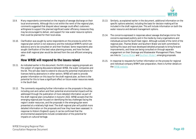

- <span id="page-51-0"></span>15.9. Many respondents commented on the impacts of sewage discharge on their local environments. Although this is not within the remit of the regional plan, comments suggested that disquiet about sewage could affect customers willingness to support the planned significant water efficiency measures they may be encouraged to deliver, and support for new water resource options that could be planned for their local areas.
- 15.10. Clarification was sought by some respondents on the process by which the regional plan (which is non-statutory) and the individual WRMPs (which are statutory) are to be consulted on and then finalised. Some respondents also sought clarification of the best value planning process, and how the best value draft regional plan would be derived from the cost efficient emerging plan.

### **How WRSE will respond to the issues raised**

- 15.11. As indicated earlier in this document, the EA's licence capping proposals are the subject of ongoing discussions between WRSE, the water companies and the EA. This will also need to extend to discuss the potential implications for licences held by abstractors in other sectors. WRSE will seek to provide greater information on this issue for the draft regional plan, as there is the potential for this to have a significant effect on future water resources needs in the South East.
- 15.12. The comments requesting further information on the proposals in the plan, including cost and carbon and their potential environmental impacts will be addressed through the publication of more detailed information as part of the draft regional plan consultation in Autumn 2022. WRSE accepts that the emerging regional plan focused on identifying the key challenges facing the region's water resources, and the proposals in the emerging plan were presented at a relatively high level. The draft regional plan will publish more detailed information on the proposals and how they have been assessed. In response to Historic England's query it can be confirmed that the environmental assessments include consideration of the potential for impacts on cultural heritage.
- 15.13. Similarly, as explained earlier in the document, additional information on the specific options selected, including the basis for decision making will be included in the draft regional plan. This will include information on both the water resource and demand management options.
- 15.14. The concerns expressed in responses about sewage discharges mirror the concerns expressed publicly and in the media by many organisations and individuals across the South East region. Although outside of the remit of the regional plan, Thames Water and Southern Water are both committed to tackling this issue and have developed detailed proposals to bring forward improvements, and these are being consulted on through separate engagement on their Drainage and Wastewater Management Plans. These are links to [Thames Water](#page-51-0) and [Southern Water's e](#page-51-0)merging proposals.
- 15.15. In response to requests for further information on the process for regional and individual company WRMP plan preparation, there is further details on the [WRSE website.](#page-51-0)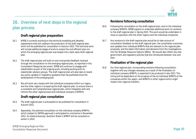

# **16. Overview of next steps in the regional plan process**

# **Draft regional plan preparation**

- 16.1. WRSE is currently working on the technical modelling and detailed assessments that will underpin the production of the draft regional plan, which will be published for consultation in Autumn 2022. This technical work will include additional stages of work to evolve the cost efficient plan (on which the emerging regional plan was based) into a best value draft regional plan.
- 16.2. The draft regional plan will build on and incorporate feedback received through the consultation on the emerging regional plan, as reported in this Consultation Response document. WRSE will continue to engage with stakeholders as part of the ongoing work, including working with its stakeholder advisory groups. The draft regional plan will also take on board any policy updates or regulatory guidance that has published since the development of the emerging plan.
- 16.3. We will work very closely with the individual companies within our region, and the other regions in preparing the draft regional plan, to ensure there is a consistent and comprehensive regional plan, which integrates with and informs the other regional plans and individual company's WRMPs.

# **Draft regional plan consultation**

- 16.4. The draft regional plan is anticipated to be published for consultation in Autumn 2022.
- 16.5. Separately, the planned consultation on the individual company WRMPs, which (subject to DEFRA approval) is anticipated to commence in November 2022. As noted previously, Southern Water's WRMP will be consulted on earlier in 2022.

#### WRSE Emerging Regional Plan: Consultation Response Document **Page 50**

# **Revisions following consultation**

- 16.6. Following the consultation on the draft regional plan, and on the individual company WRMPs, WRSE expects to undertake additional work on revisions to the draft regional plan in Spring 2023. This work would be undertaken in close co-operation with the other regions and the individual companies.
- 16.7. Any revisions to the draft regional plan would be to take account of consultation feedback on the draft regional plan, the consultation outcomes and updates from individual WRMPs that are relevant to the regional plan proposals, and the latest information and decisions from the investigations into the Strategic Resource Options (SROs). We would also reflect any new government and regulatory policies that are introduced between now and then.

# **Finalisation of the regional plan**

16.8. Our final regional plan, incorporating revisions following consultation, together with any changes necessary as a result of the finalisation of individual company WRMPs, is expected to be produced in late 2023. This timing will be dependent on the progress of the six individual WRMPs of the companies within the region, and WRMPs in other regions which might impact inter regional transfers.